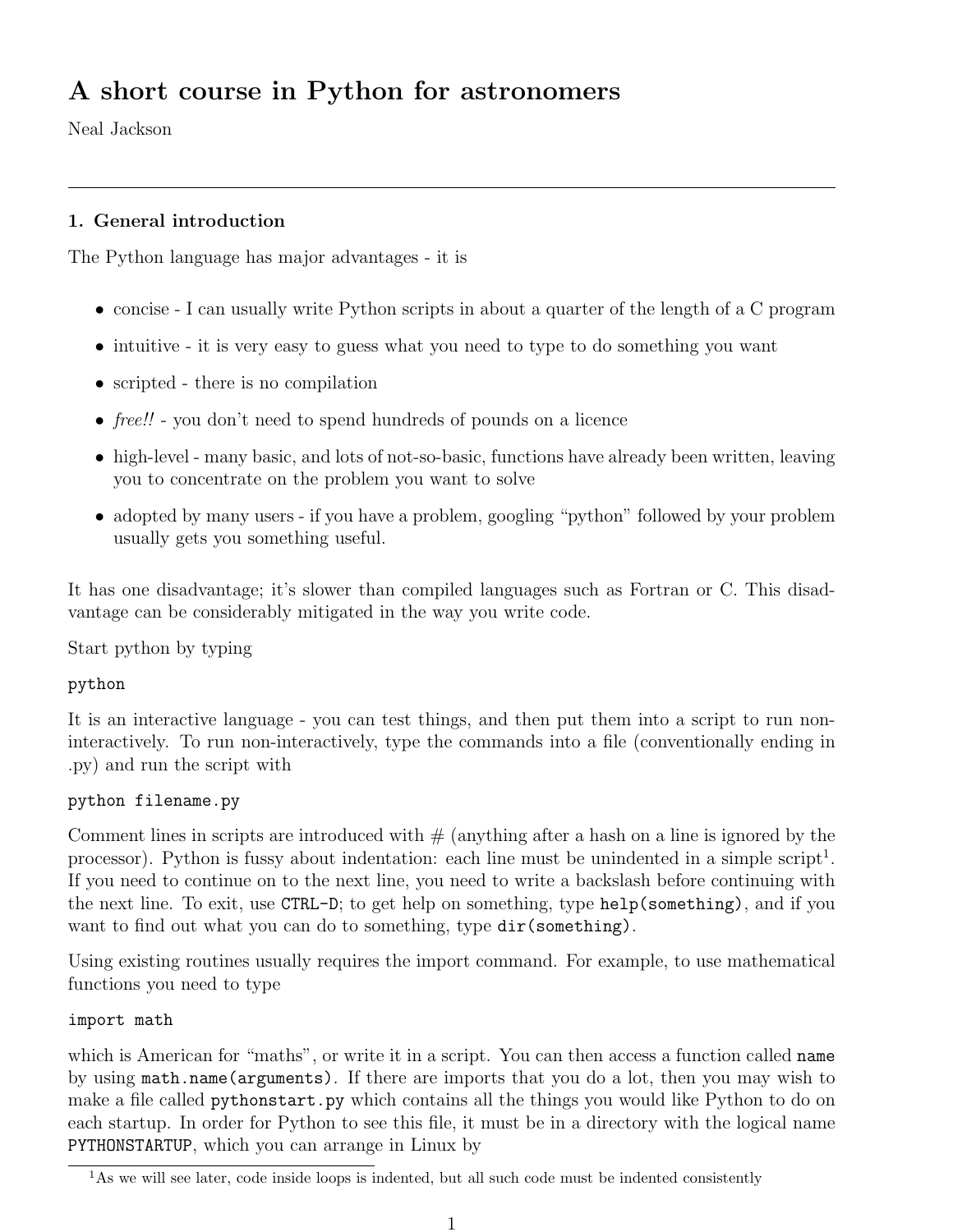# A short course in Python for astronomers

Neal Jackson

# 1. General introduction

The Python language has major advantages - it is

- concise I can usually write Python scripts in about a quarter of the length of a C program
- intuitive it is very easy to guess what you need to type to do something you want
- scripted there is no compilation
- free!! you don't need to spend hundreds of pounds on a licence
- high-level many basic, and lots of not-so-basic, functions have already been written, leaving you to concentrate on the problem you want to solve
- adopted by many users if you have a problem, googling "python" followed by your problem usually gets you something useful.

It has one disadvantage; it's slower than compiled languages such as Fortran or C. This disadvantage can be considerably mitigated in the way you write code.

Start python by typing

# python

It is an interactive language - you can test things, and then put them into a script to run noninteractively. To run non-interactively, type the commands into a file (conventionally ending in .py) and run the script with

# python filename.py

Comment lines in scripts are introduced with  $#$  (anything after a hash on a line is ignored by the processor). Python is fussy about indentation: each line must be unindented in a simple script<sup>1</sup>. If you need to continue on to the next line, you need to write a backslash before continuing with the next line. To exit, use CTRL-D; to get help on something, type help(something), and if you want to find out what you can do to something, type  $dir(something)$ .

Using existing routines usually requires the import command. For example, to use mathematical functions you need to type

## import math

which is American for "maths", or write it in a script. You can then access a function called **name** by using math.name(arguments). If there are imports that you do a lot, then you may wish to make a file called pythonstart.py which contains all the things you would like Python to do on each startup. In order for Python to see this file, it must be in a directory with the logical name PYTHONSTARTUP, which you can arrange in Linux by

<sup>&</sup>lt;sup>1</sup>As we will see later, code inside loops is indented, but all such code must be indented consistently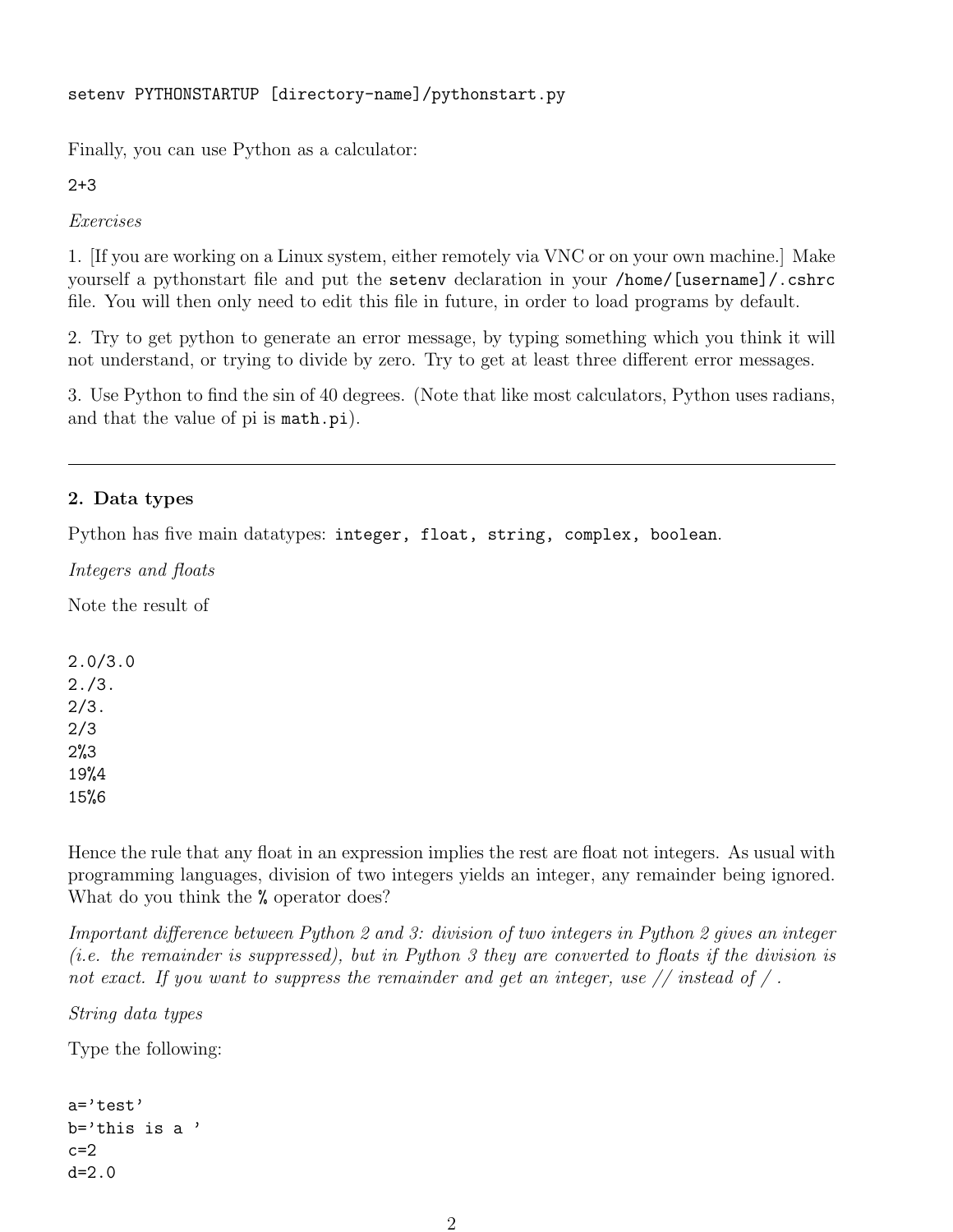```
setenv PYTHONSTARTUP [directory-name]/pythonstart.py
```
Finally, you can use Python as a calculator:

2+3

Exercises

1. [If you are working on a Linux system, either remotely via VNC or on your own machine.] Make yourself a pythonstart file and put the setenv declaration in your /home/[username]/.cshrc file. You will then only need to edit this file in future, in order to load programs by default.

2. Try to get python to generate an error message, by typing something which you think it will not understand, or trying to divide by zero. Try to get at least three different error messages.

3. Use Python to find the sin of 40 degrees. (Note that like most calculators, Python uses radians, and that the value of pi is math.pi).

# 2. Data types

Python has five main datatypes: integer, float, string, complex, boolean.

Integers and floats

Note the result of

2.0/3.0 2./3. 2/3. 2/3 2%3 19%4 15%6

Hence the rule that any float in an expression implies the rest are float not integers. As usual with programming languages, division of two integers yields an integer, any remainder being ignored. What do you think the % operator does?

Important difference between Python 2 and 3: division of two integers in Python 2 gives an integer (i.e. the remainder is suppressed), but in Python 3 they are converted to floats if the division is not exact. If you want to suppress the remainder and get an integer, use  $//$  instead of  $/$ .

String data types

Type the following:

```
a='test'
b='this is a '
c=2d=2.0
```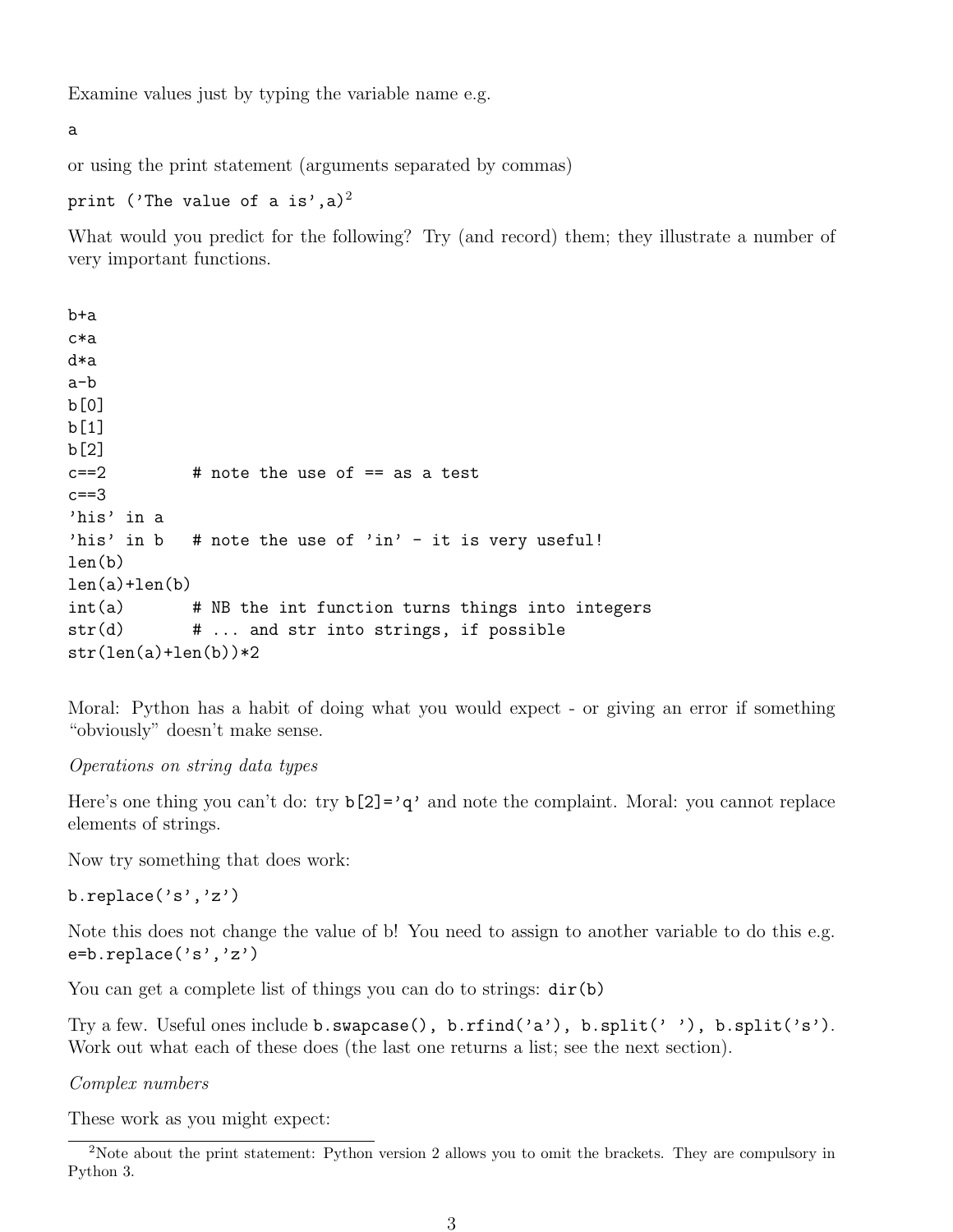Examine values just by typing the variable name e.g.

a

or using the print statement (arguments separated by commas)

print ('The value of a is',a)<sup>2</sup>

What would you predict for the following? Try (and record) them; they illustrate a number of very important functions.

```
b+a
c*a
d*a
a-b
b[0]
b[1]
b[2]
c==2 # note the use of == as a test
c==3'his' in a
'his' in b # note the use of 'in' - it is very useful!
len(b)
len(a)+len(b)int(a) # NB the int function turns things into integers
str(d) \# ... and str into strings, if possible
str(len(a)+len(b))*2
```
Moral: Python has a habit of doing what you would expect - or giving an error if something "obviously" doesn't make sense.

#### Operations on string data types

Here's one thing you can't do: try  $b[2] = 'q'$  and note the complaint. Moral: you cannot replace elements of strings.

Now try something that does work:

b.replace('s','z')

Note this does not change the value of b! You need to assign to another variable to do this e.g. e=b.replace('s','z')

You can get a complete list of things you can do to strings:  $dir(b)$ 

Try a few. Useful ones include b.swapcase(), b.rfind('a'), b.split('''), b.split('s'). Work out what each of these does (the last one returns a list; see the next section).

Complex numbers

These work as you might expect:

<sup>2</sup>Note about the print statement: Python version 2 allows you to omit the brackets. They are compulsory in Python 3.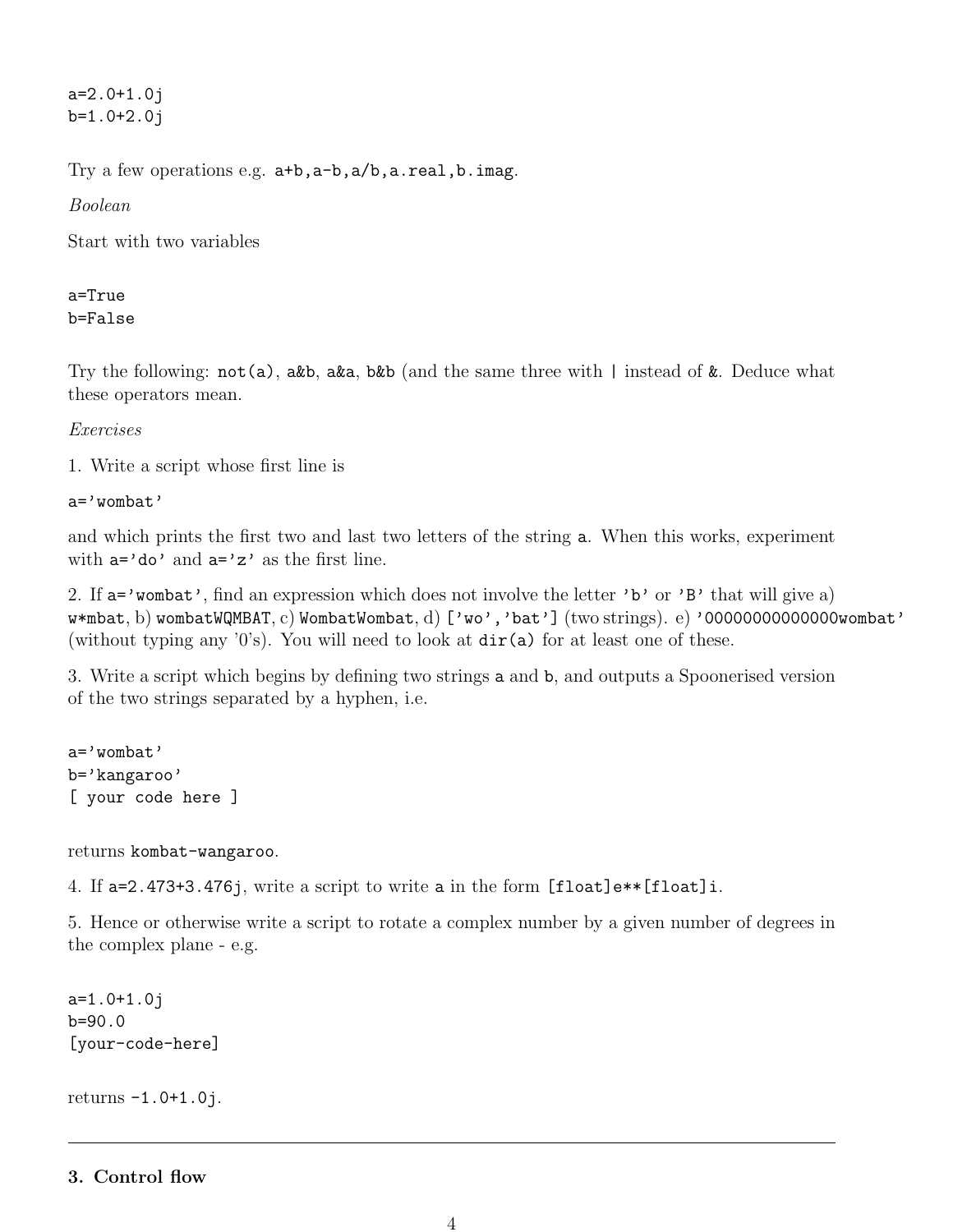a=2.0+1.0j b=1.0+2.0j

Try a few operations e.g. a+b,a-b,a/b,a.real,b.imag.

Boolean

Start with two variables

# a=True b=False

Try the following:  $not(a)$ , a&b, a&a, b&b (and the same three with | instead of &. Deduce what these operators mean.

## Exercises

1. Write a script whose first line is

a='wombat'

and which prints the first two and last two letters of the string a. When this works, experiment with  $a='do'$  and  $a='z'$  as the first line.

2. If  $a = 'wombat'$ , find an expression which does not involve the letter 'b' or 'B' that will give a)  $w*mbat, b)$  wombatWQMBAT, c) WombatWombat, d) ['wo','bat'] (two strings). e) '000000000000000wombat' (without typing any '0's). You will need to look at  $dir(a)$  for at least one of these.

3. Write a script which begins by defining two strings a and b, and outputs a Spoonerised version of the two strings separated by a hyphen, i.e.

a='wombat' b='kangaroo' [ your code here ]

returns kombat-wangaroo.

4. If a=2.473+3.476j, write a script to write a in the form [float]e\*\*[float]i.

5. Hence or otherwise write a script to rotate a complex number by a given number of degrees in the complex plane - e.g.

```
a=1.0+1.0j
b=90.0
[your-code-here]
```
returns -1.0+1.0j.

3. Control flow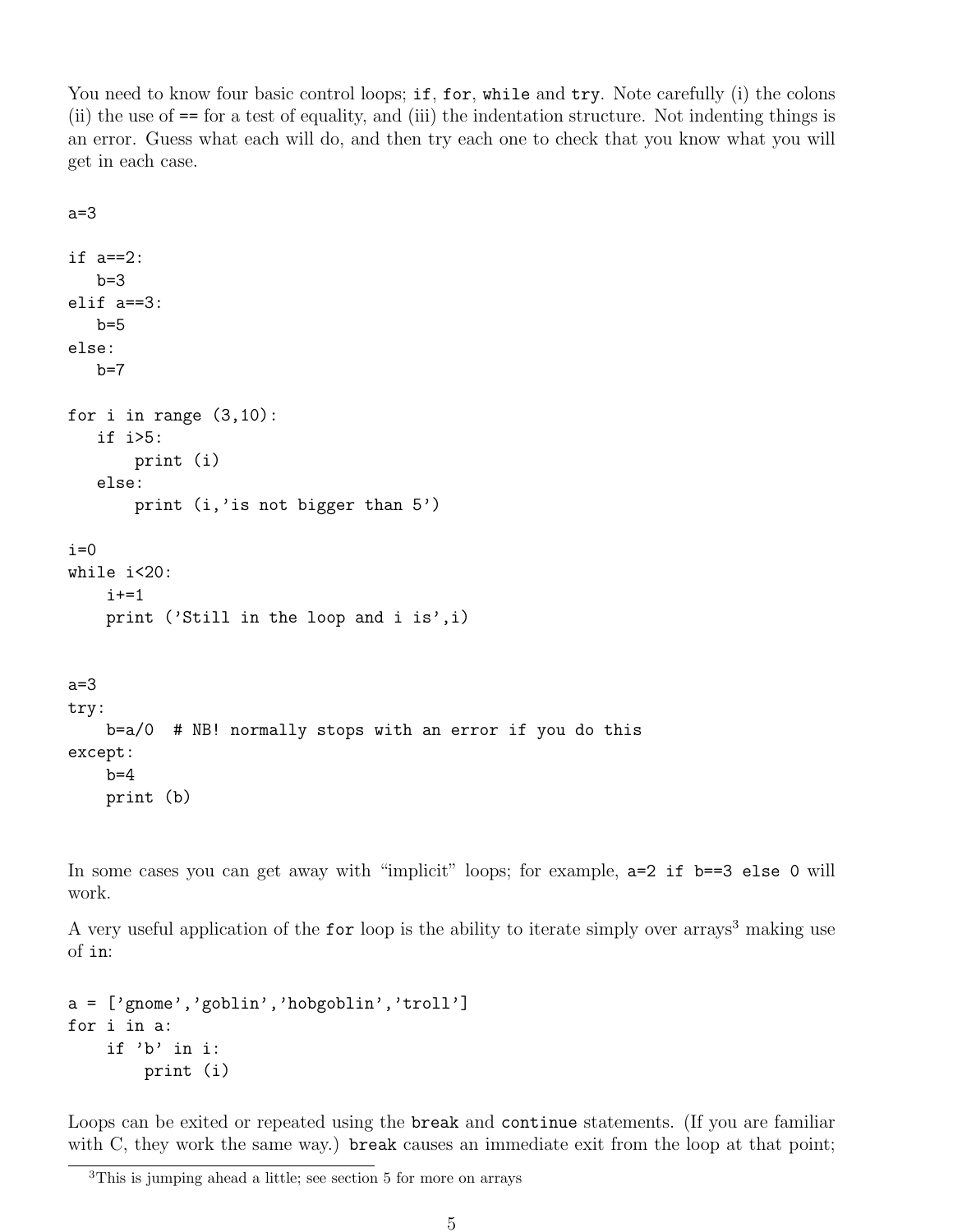You need to know four basic control loops; if, for, while and try. Note carefully (i) the colons (ii) the use of == for a test of equality, and (iii) the indentation structure. Not indenting things is an error. Guess what each will do, and then try each one to check that you know what you will get in each case.

```
a=3
if a==2:
   b=3elif a==3:
   b=5else:
   b=7for i in range (3,10):
   if i>5:
       print (i)
   else:
       print (i,'is not bigger than 5')
i=0while i<20:
    i+1print ('Still in the loop and i is',i)
a=3
try:
    b=a/0 # NB! normally stops with an error if you do this
except:
    b=4print (b)
```
In some cases you can get away with "implicit" loops; for example,  $a=2$  if  $b=-3$  else 0 will work.

A very useful application of the for loop is the ability to iterate simply over arrays<sup>3</sup> making use of in:

```
a = ['gnome', 'goblin', 'hobgoblin', 'troll']for i in a:
    if 'b' in i:
        print (i)
```
Loops can be exited or repeated using the break and continue statements. (If you are familiar with C, they work the same way.) break causes an immediate exit from the loop at that point;

<sup>3</sup>This is jumping ahead a little; see section 5 for more on arrays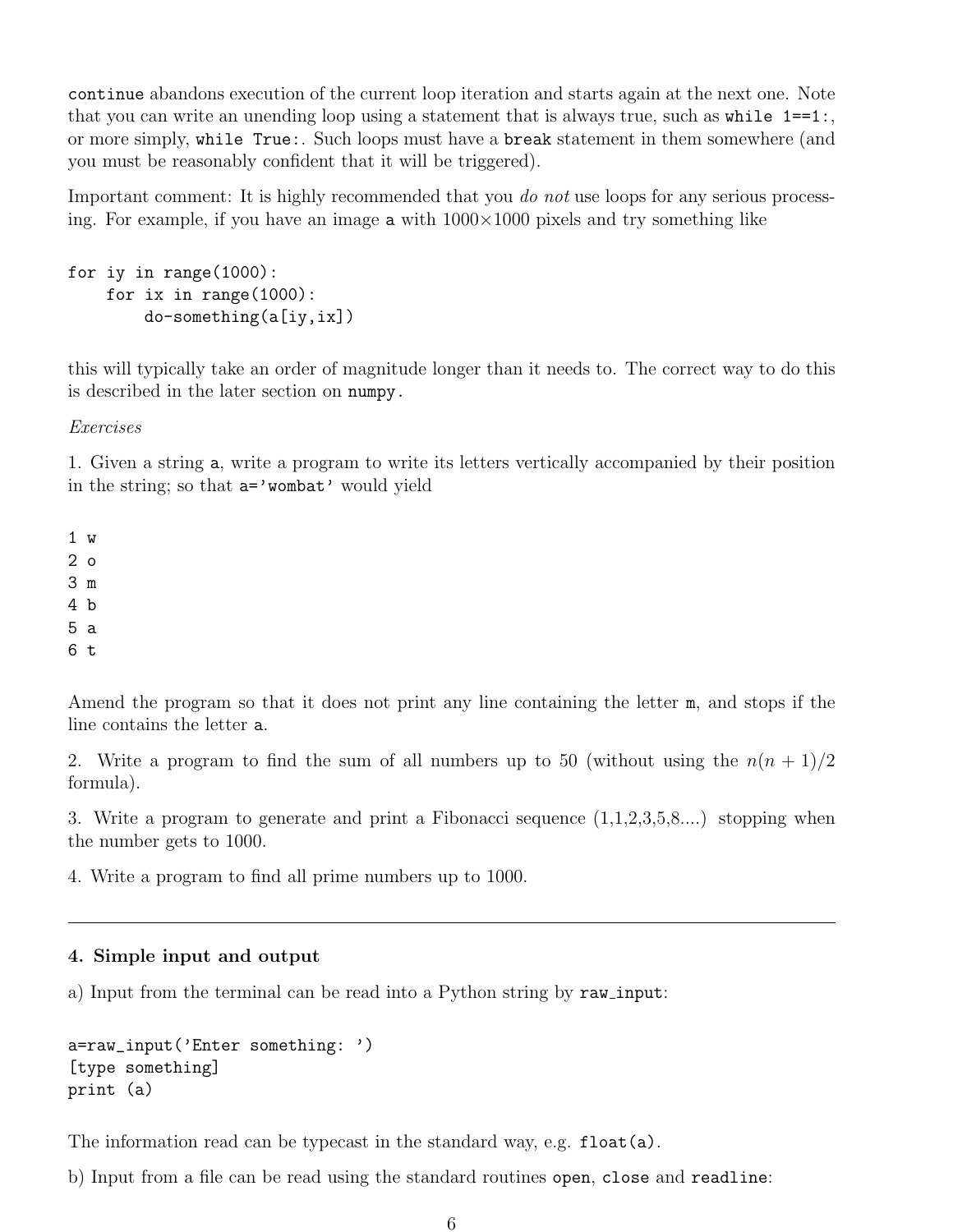continue abandons execution of the current loop iteration and starts again at the next one. Note that you can write an unending loop using a statement that is always true, such as while  $1 == 1$ ; or more simply, while True:. Such loops must have a break statement in them somewhere (and you must be reasonably confident that it will be triggered).

Important comment: It is highly recommended that you do not use loops for any serious processing. For example, if you have an image  $\alpha$  with  $1000\times1000$  pixels and try something like

```
for iy in range(1000):
    for ix in range(1000):
        do-something(a[iy,ix])
```
this will typically take an order of magnitude longer than it needs to. The correct way to do this is described in the later section on numpy.

Exercises

1. Given a string a, write a program to write its letters vertically accompanied by their position in the string; so that  $a=$ 'wombat' would yield

1 w 2 o 3 m 4 b 5 a 6 t

Amend the program so that it does not print any line containing the letter m, and stops if the line contains the letter a.

2. Write a program to find the sum of all numbers up to 50 (without using the  $n(n + 1)/2$ formula).

3. Write a program to generate and print a Fibonacci sequence (1,1,2,3,5,8....) stopping when the number gets to 1000.

4. Write a program to find all prime numbers up to 1000.

#### 4. Simple input and output

a) Input from the terminal can be read into a Python string by raw input:

```
a=raw_input('Enter something: ')
[type something]
print (a)
```
The information read can be typecast in the standard way, e.g. float(a).

b) Input from a file can be read using the standard routines open, close and readline: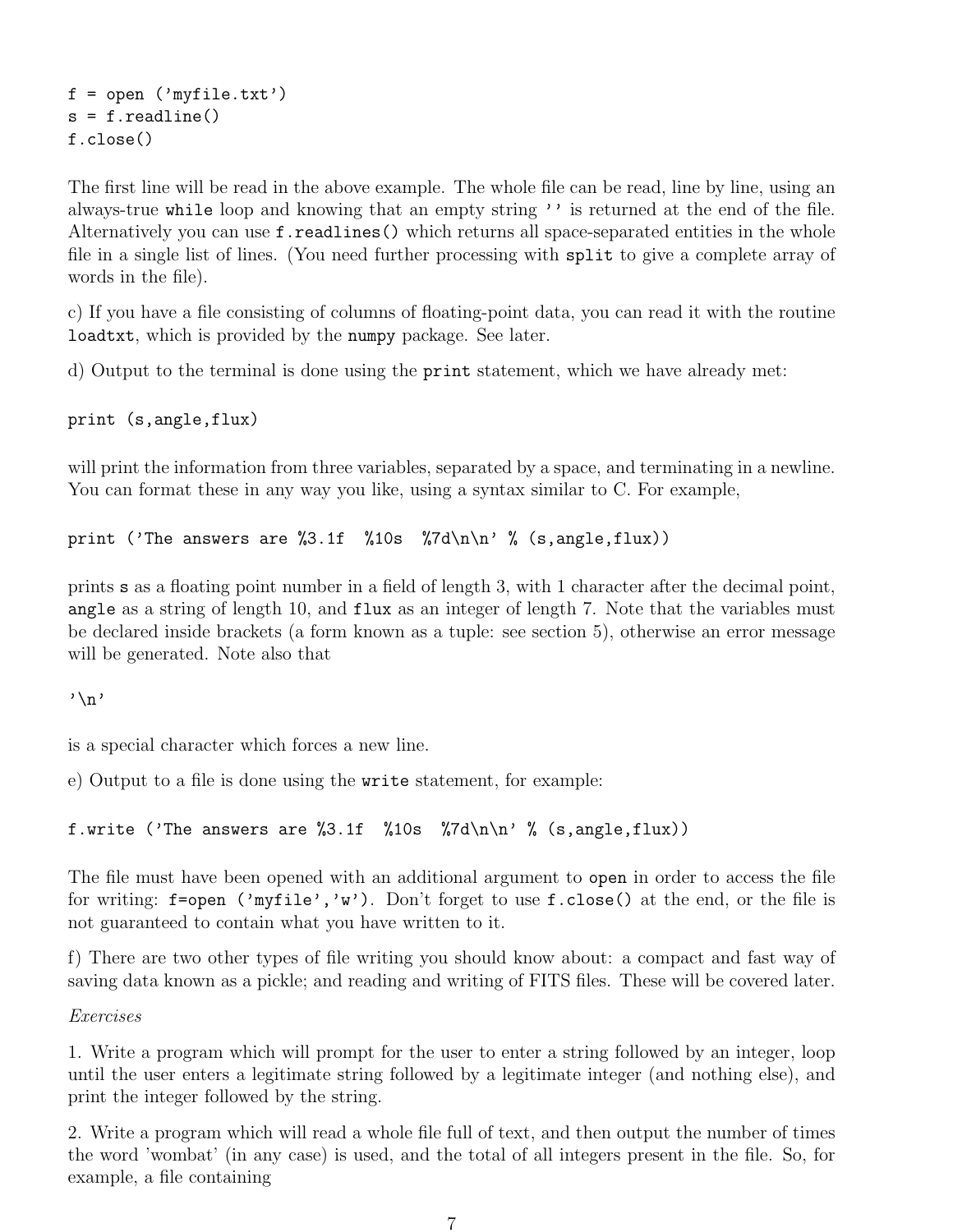$f = open('myfile.txt')$  $s = f.readline()$ f.close()

The first line will be read in the above example. The whole file can be read, line by line, using an always-true while loop and knowing that an empty string '' is returned at the end of the file. Alternatively you can use f.readlines() which returns all space-separated entities in the whole file in a single list of lines. (You need further processing with split to give a complete array of words in the file).

c) If you have a file consisting of columns of floating-point data, you can read it with the routine loadtxt, which is provided by the numpy package. See later.

d) Output to the terminal is done using the print statement, which we have already met:

print (s,angle,flux)

will print the information from three variables, separated by a space, and terminating in a newline. You can format these in any way you like, using a syntax similar to C. For example,

print ('The answers are  $\frac{2}{3}$ .1f  $\frac{1}{10}$   $\frac{2}{\pi}$   $\frac{1}{\pi}$   $\frac{2}{\pi}$  (s, angle, flux))

prints s as a floating point number in a field of length 3, with 1 character after the decimal point, angle as a string of length 10, and flux as an integer of length 7. Note that the variables must be declared inside brackets (a form known as a tuple: see section 5), otherwise an error message will be generated. Note also that

 $'\n\backslash n'$ 

is a special character which forces a new line.

e) Output to a file is done using the write statement, for example:

f.write ('The answers are %3.1f %10s %7d\n\n' % (s,angle,flux))

The file must have been opened with an additional argument to open in order to access the file for writing:  $f=open$  ('my $file'$ ,'w'). Don't forget to use  $f.close()$  at the end, or the file is not guaranteed to contain what you have written to it.

f) There are two other types of file writing you should know about: a compact and fast way of saving data known as a pickle; and reading and writing of FITS files. These will be covered later.

Exercises

1. Write a program which will prompt for the user to enter a string followed by an integer, loop until the user enters a legitimate string followed by a legitimate integer (and nothing else), and print the integer followed by the string.

2. Write a program which will read a whole file full of text, and then output the number of times the word 'wombat' (in any case) is used, and the total of all integers present in the file. So, for example, a file containing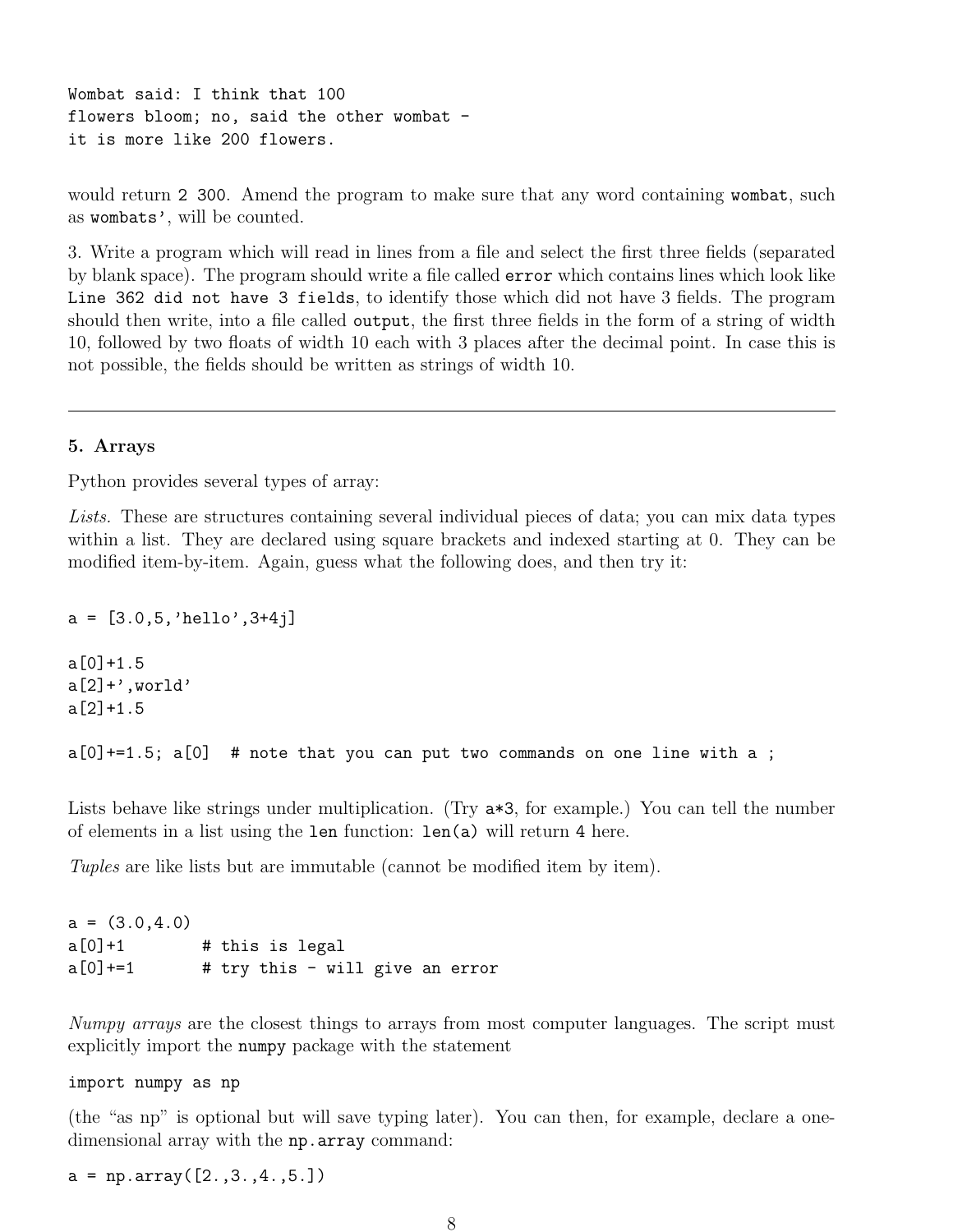Wombat said: I think that 100 flowers bloom; no, said the other wombat it is more like 200 flowers.

would return 2 300. Amend the program to make sure that any word containing wombat, such as wombats', will be counted.

3. Write a program which will read in lines from a file and select the first three fields (separated by blank space). The program should write a file called error which contains lines which look like Line 362 did not have 3 fields, to identify those which did not have 3 fields. The program should then write, into a file called output, the first three fields in the form of a string of width 10, followed by two floats of width 10 each with 3 places after the decimal point. In case this is not possible, the fields should be written as strings of width 10.

#### 5. Arrays

Python provides several types of array:

Lists. These are structures containing several individual pieces of data; you can mix data types within a list. They are declared using square brackets and indexed starting at 0. They can be modified item-by-item. Again, guess what the following does, and then try it:

 $a = [3.0, 5, 'hello', 3+4j]$  $a[0]+1.5$  $a[2]+'$ , world' a[2]+1.5  $a[0]+1.5$ ;  $a[0]$  # note that you can put two commands on one line with a;

Lists behave like strings under multiplication. (Try  $a*3$ , for example.) You can tell the number of elements in a list using the len function: len(a) will return 4 here.

Tuples are like lists but are immutable (cannot be modified item by item).

```
a = (3.0, 4.0)a[0]+1 # this is legal
a[0]+=1 # try this - will give an error
```
Numpy arrays are the closest things to arrays from most computer languages. The script must explicitly import the numpy package with the statement

import numpy as np

(the "as np" is optional but will save typing later). You can then, for example, declare a onedimensional array with the np.array command:

 $a = np.array([2., 3., 4., 5.])$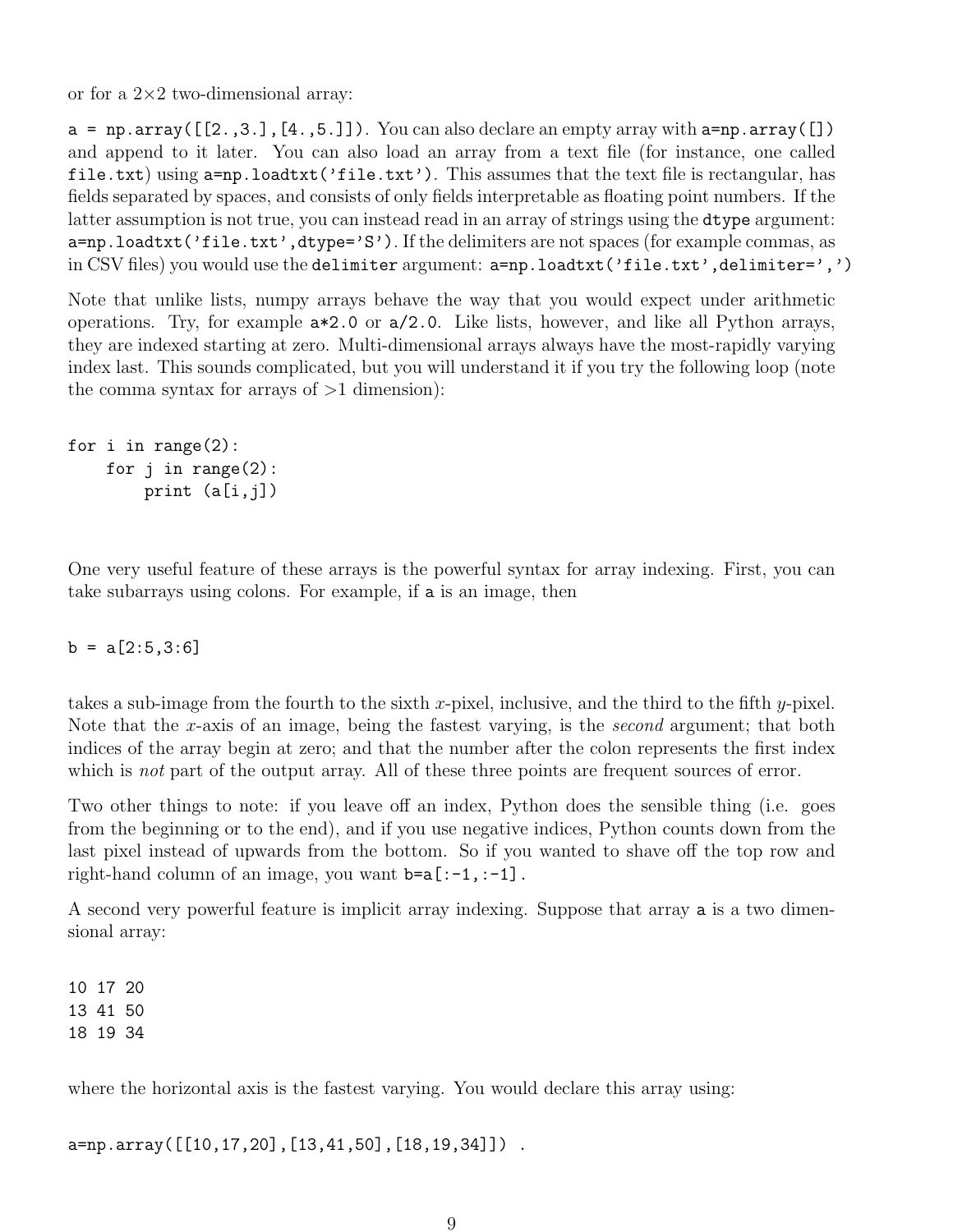or for a  $2\times 2$  two-dimensional array:

 $a = np.array([2.,3.], [4.,5.]])$ . You can also declare an empty array with  $a=np.array([])$ and append to it later. You can also load an array from a text file (for instance, one called file.txt) using a=np.loadtxt('file.txt'). This assumes that the text file is rectangular, has fields separated by spaces, and consists of only fields interpretable as floating point numbers. If the latter assumption is not true, you can instead read in an array of strings using the dtype argument: a=np.loadtxt('file.txt',dtype='S'). If the delimiters are not spaces (for example commas, as in CSV files) you would use the delimiter argument:  $a=np.loadtxt('file.txt',delmitter=',')$ 

Note that unlike lists, numpy arrays behave the way that you would expect under arithmetic operations. Try, for example a\*2.0 or a/2.0. Like lists, however, and like all Python arrays, they are indexed starting at zero. Multi-dimensional arrays always have the most-rapidly varying index last. This sounds complicated, but you will understand it if you try the following loop (note the comma syntax for arrays of  $>1$  dimension):

```
for i in range(2):
    for j in range(2):
        print (a[i,j])
```
One very useful feature of these arrays is the powerful syntax for array indexing. First, you can take subarrays using colons. For example, if a is an image, then

 $b = a[2:5,3:6]$ 

takes a sub-image from the fourth to the sixth x-pixel, inclusive, and the third to the fifth y-pixel. Note that the x-axis of an image, being the fastest varying, is the second argument; that both indices of the array begin at zero; and that the number after the colon represents the first index which is *not* part of the output array. All of these three points are frequent sources of error.

Two other things to note: if you leave off an index, Python does the sensible thing (i.e. goes from the beginning or to the end), and if you use negative indices, Python counts down from the last pixel instead of upwards from the bottom. So if you wanted to shave off the top row and right-hand column of an image, you want  $b=a$ [:-1,:-1].

A second very powerful feature is implicit array indexing. Suppose that array a is a two dimensional array:

10 17 20 13 41 50 18 19 34

where the horizontal axis is the fastest varying. You would declare this array using:

a=np.array([[10,17,20],[13,41,50],[18,19,34]]) .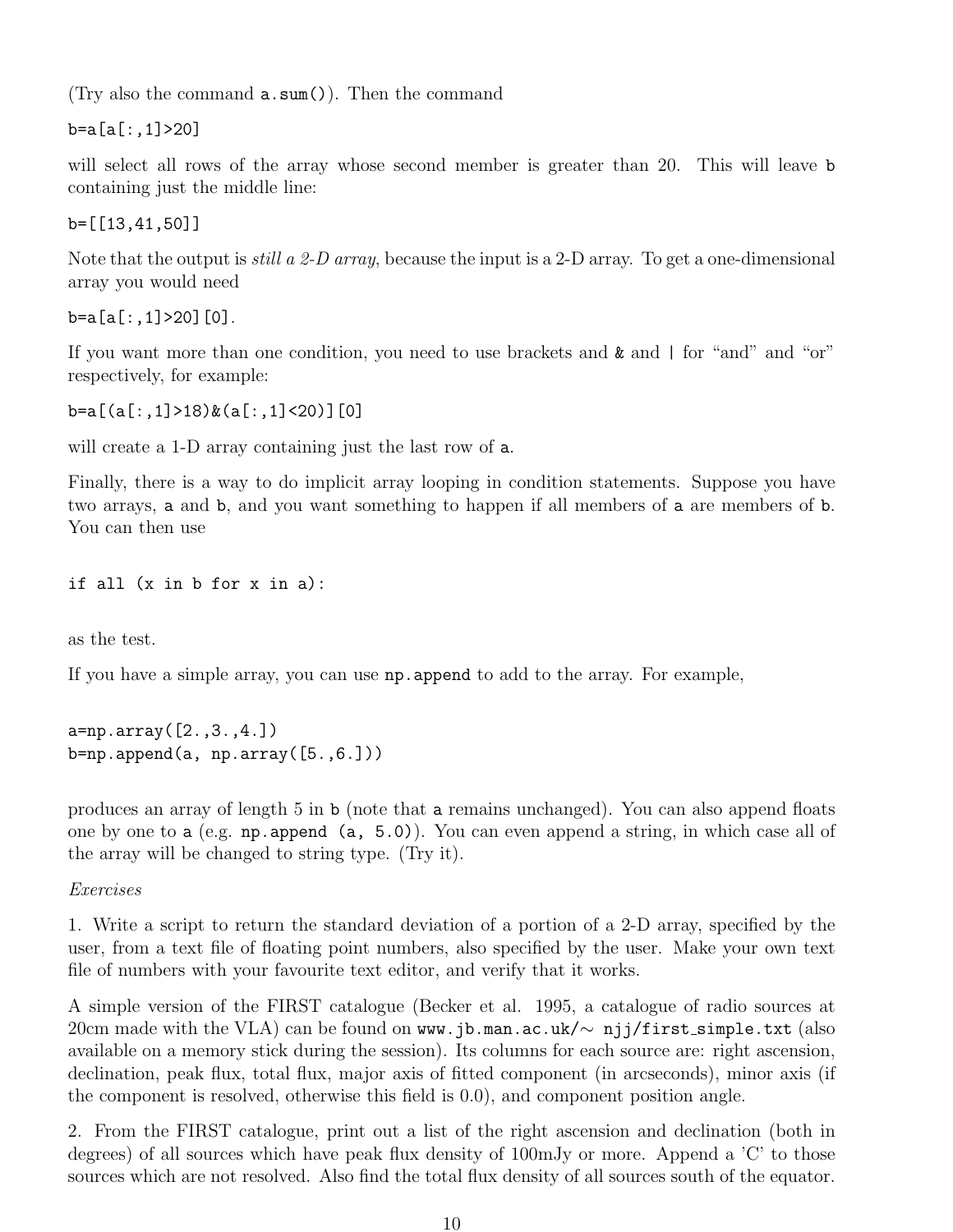(Try also the command a.sum()). Then the command

b=a[a[:,1]>20]

will select all rows of the array whose second member is greater than 20. This will leave **b** containing just the middle line:

b=[[13,41,50]]

Note that the output is *still a 2-D array*, because the input is a 2-D array. To get a one-dimensional array you would need

b=a[a[:,1]>20][0].

If you want more than one condition, you need to use brackets and & and | for "and" and "or" respectively, for example:

```
b=a[(a[:,1]>18)&(a[:,1]<20)][0]
```
will create a 1-D array containing just the last row of a.

Finally, there is a way to do implicit array looping in condition statements. Suppose you have two arrays, a and b, and you want something to happen if all members of a are members of b. You can then use

if all (x in b for x in a):

as the test.

If you have a simple array, you can use np.append to add to the array. For example,

```
a=np.array([2.,3.,4.])
b=np.append(a, np.array([5., 6.]))
```
produces an array of length 5 in b (note that a remains unchanged). You can also append floats one by one to a (e.g. np.append (a, 5.0)). You can even append a string, in which case all of the array will be changed to string type. (Try it).

Exercises

1. Write a script to return the standard deviation of a portion of a 2-D array, specified by the user, from a text file of floating point numbers, also specified by the user. Make your own text file of numbers with your favourite text editor, and verify that it works.

A simple version of the FIRST catalogue (Becker et al. 1995, a catalogue of radio sources at 20cm made with the VLA) can be found on www.jb.man.ac.uk/ $\sim$  njj/first\_simple.txt (also available on a memory stick during the session). Its columns for each source are: right ascension, declination, peak flux, total flux, major axis of fitted component (in arcseconds), minor axis (if the component is resolved, otherwise this field is 0.0), and component position angle.

2. From the FIRST catalogue, print out a list of the right ascension and declination (both in degrees) of all sources which have peak flux density of 100mJy or more. Append a 'C' to those sources which are not resolved. Also find the total flux density of all sources south of the equator.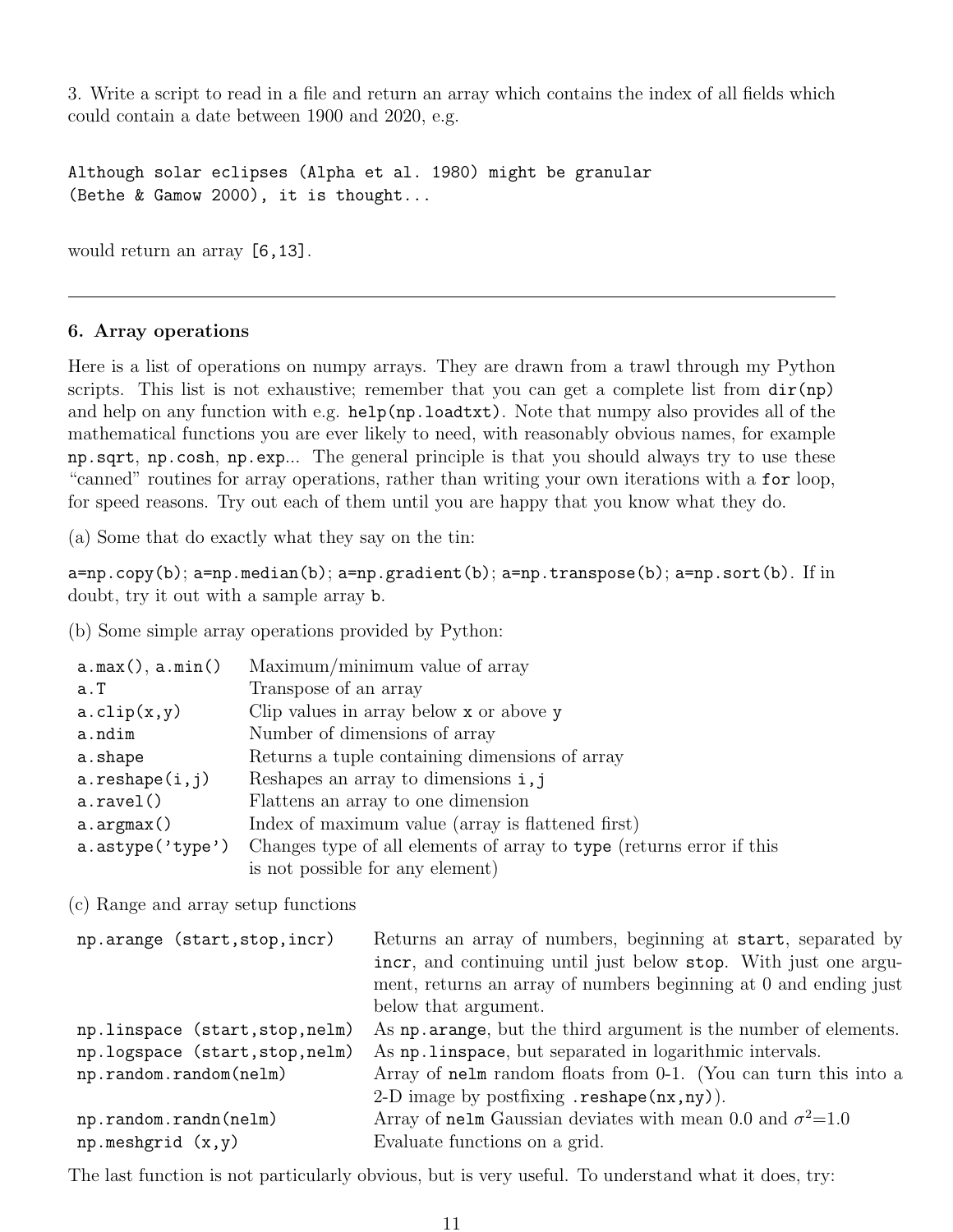3. Write a script to read in a file and return an array which contains the index of all fields which could contain a date between 1900 and 2020, e.g.

Although solar eclipses (Alpha et al. 1980) might be granular (Bethe & Gamow 2000), it is thought...

would return an array [6,13].

#### 6. Array operations

Here is a list of operations on numpy arrays. They are drawn from a trawl through my Python scripts. This list is not exhaustive; remember that you can get a complete list from  $dir(np)$ and help on any function with e.g. help(np.loadtxt). Note that numpy also provides all of the mathematical functions you are ever likely to need, with reasonably obvious names, for example np.sqrt, np.cosh, np.exp... The general principle is that you should always try to use these "canned" routines for array operations, rather than writing your own iterations with a for loop, for speed reasons. Try out each of them until you are happy that you know what they do.

(a) Some that do exactly what they say on the tin:

 $a=np.copy(b); a=np.median(b); a=np.gradient(b); a=np.transpose(b); a=np.sort(b). If in$ doubt, try it out with a sample array b.

(b) Some simple array operations provided by Python:

| $a.max()$ , $a.min()$   | Maximum/minimum value of array                                       |  |
|-------------------------|----------------------------------------------------------------------|--|
| a.T                     | Transpose of an array                                                |  |
| $a. \text{clip}(x, y)$  | Clip values in array below x or above y                              |  |
| a.ndim                  | Number of dimensions of array                                        |  |
| a.shape                 | Returns a tuple containing dimensions of array                       |  |
| $a.\text{reshape}(i,j)$ | Reshapes an array to dimensions $i, j$                               |  |
| a.ravel()               | Flattens an array to one dimension                                   |  |
| a.argmax()              | Index of maximum value (array is flattened first)                    |  |
| $a.astype('type')$      | Changes type of all elements of array to type (returns error if this |  |
|                         | is not possible for any element)                                     |  |

(c) Range and array setup functions

| np.arange (start, stop, incr)   | Returns an array of numbers, beginning at start, separated by     |  |  |
|---------------------------------|-------------------------------------------------------------------|--|--|
|                                 | incr, and continuing until just below stop. With just one argu-   |  |  |
|                                 | ment, returns an array of numbers beginning at 0 and ending just  |  |  |
|                                 | below that argument.                                              |  |  |
| np.linspace (start, stop, nelm) | As np. arange, but the third argument is the number of elements.  |  |  |
| np.logspace (start, stop, nelm) | As np. linspace, but separated in logarithmic intervals.          |  |  |
| np.random.random(nelm)          | Array of nelm random floats from 0-1. (You can turn this into a   |  |  |
|                                 | 2-D image by postfixing $reshape(nx, ny)$ .                       |  |  |
| np.random.randn(nelm)           | Array of nelm Gaussian deviates with mean 0.0 and $\sigma^2$ =1.0 |  |  |
| $np.$ meshgrid $(x, y)$         | Evaluate functions on a grid.                                     |  |  |
|                                 |                                                                   |  |  |

The last function is not particularly obvious, but is very useful. To understand what it does, try: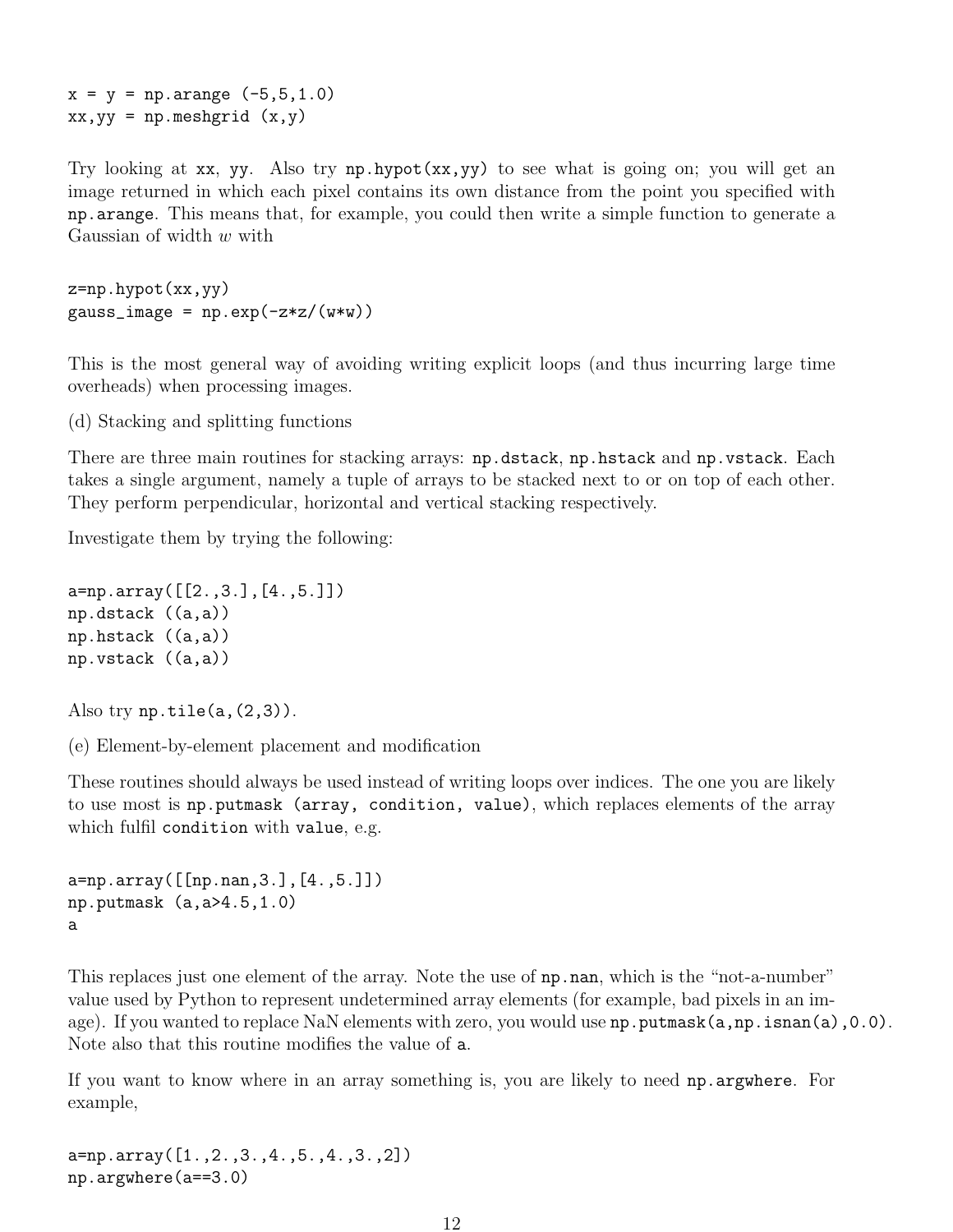$x = y = np.arange (-5, 5, 1.0)$  $xx, yy = np.message$   $(x, y)$ 

Try looking at xx, yy. Also try np.hypot(xx,yy) to see what is going on; you will get an image returned in which each pixel contains its own distance from the point you specified with np.arange. This means that, for example, you could then write a simple function to generate a Gaussian of width  $w$  with

```
z=np.hypot(xx,yy)
gauss\_image = np.exp(-z*z/(w*y))
```
This is the most general way of avoiding writing explicit loops (and thus incurring large time overheads) when processing images.

(d) Stacking and splitting functions

There are three main routines for stacking arrays: np.dstack, np.hstack and np.vstack. Each takes a single argument, namely a tuple of arrays to be stacked next to or on top of each other. They perform perpendicular, horizontal and vertical stacking respectively.

Investigate them by trying the following:

```
a=np.array([[2.,3.],[4.,5.]])
np.dstack ((a,a))
np.hstack ((a,a))
np.vstack ((a,a))
```
Also try  $np.title(a,(2,3))$ .

(e) Element-by-element placement and modification

These routines should always be used instead of writing loops over indices. The one you are likely to use most is np.putmask (array, condition, value), which replaces elements of the array which fulfil condition with value, e.g.

```
a=np.array([[np.nan,3.],[4.,5.]])
np.putmask (a,a>4.5,1.0)
a
```
This replaces just one element of the array. Note the use of np.nan, which is the "not-a-number" value used by Python to represent undetermined array elements (for example, bad pixels in an image). If you wanted to replace NaN elements with zero, you would use np.putmask(a,np.isnan(a),0.0). Note also that this routine modifies the value of a.

If you want to know where in an array something is, you are likely to need np.argwhere. For example,

a=np.array([1.,2.,3.,4.,5.,4.,3.,2]) np.argwhere(a==3.0)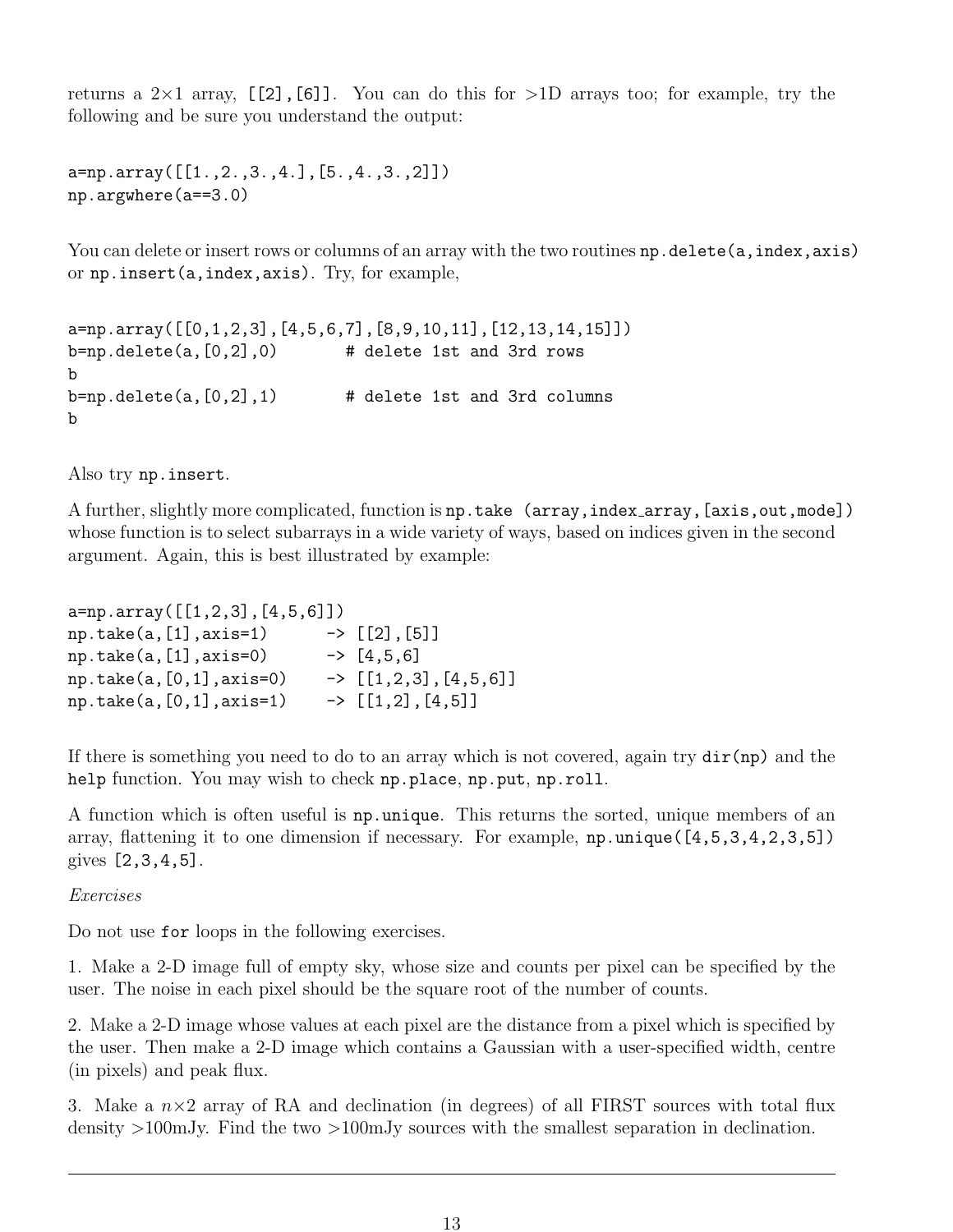returns a  $2\times1$  array, [[2],[6]]. You can do this for  $>1D$  arrays too; for example, try the following and be sure you understand the output:

```
a=np.array([[1.,2.,3.,4.],[5.,4.,3.,2]])
np.argwhere(a==3.0)
```
You can delete or insert rows or columns of an array with the two routines np.delete(a,index,axis) or np.insert(a,index,axis). Try, for example,

```
a=np.array([[0,1,2,3],[4,5,6,7],[8,9,10,11],[12,13,14,15]])
b=np.delete(a, [0,2], 0) # delete 1st and 3rd rows
b
b=np.delete(a, [0,2], 1) # delete 1st and 3rd columns
b
```
Also try np.insert.

A further, slightly more complicated, function is np.take (array, index\_array, [axis, out, mode]) whose function is to select subarrays in a wide variety of ways, based on indices given in the second argument. Again, this is best illustrated by example:

| $a=np.array([[1,2,3],[4,5,6]])$ |  |                                  |  |  |
|---------------------------------|--|----------------------------------|--|--|
| $np.take(a, [1], axis=1)$       |  | $\rightarrow$ [[2], [5]]         |  |  |
| $np.take(a, [1], axis=0)$       |  | $\rightarrow$ [4,5,6]            |  |  |
| $np.take(a, [0, 1], axis=0)$    |  | $\rightarrow$ [[1,2,3], [4,5,6]] |  |  |
| $np.take(a, [0, 1], axis=1)$    |  | $\rightarrow$ [[1,2], [4,5]]     |  |  |

If there is something you need to do to an array which is not covered, again try  $dir(np)$  and the help function. You may wish to check np.place, np.put, np.roll.

A function which is often useful is np.unique. This returns the sorted, unique members of an array, flattening it to one dimension if necessary. For example, np.unique([4,5,3,4,2,3,5]) gives [2,3,4,5].

Exercises

Do not use for loops in the following exercises.

1. Make a 2-D image full of empty sky, whose size and counts per pixel can be specified by the user. The noise in each pixel should be the square root of the number of counts.

2. Make a 2-D image whose values at each pixel are the distance from a pixel which is specified by the user. Then make a 2-D image which contains a Gaussian with a user-specified width, centre (in pixels) and peak flux.

3. Make a  $n \times 2$  array of RA and declination (in degrees) of all FIRST sources with total flux density >100mJy. Find the two >100mJy sources with the smallest separation in declination.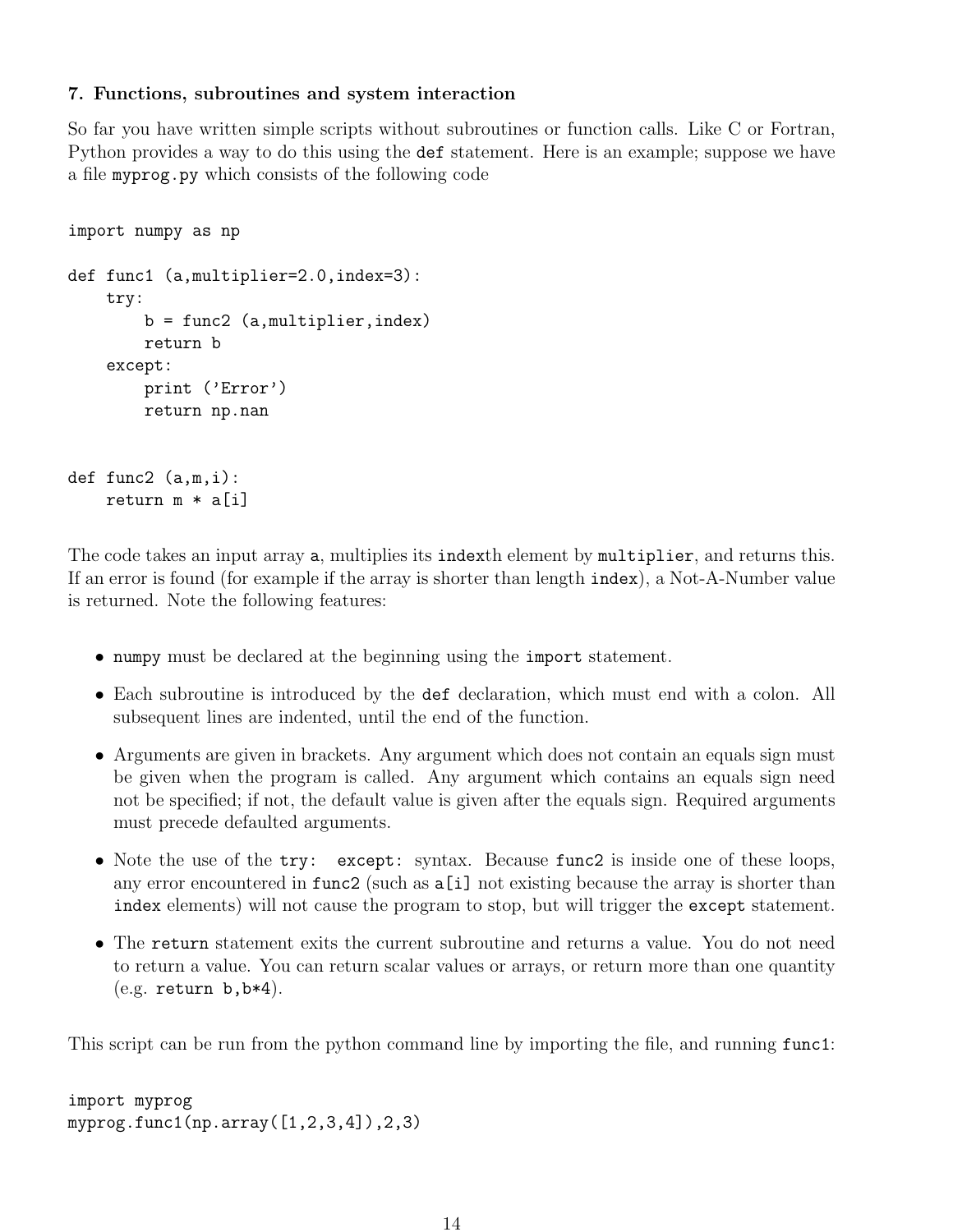## 7. Functions, subroutines and system interaction

So far you have written simple scripts without subroutines or function calls. Like C or Fortran, Python provides a way to do this using the def statement. Here is an example; suppose we have a file myprog.py which consists of the following code

```
import numpy as np
def func1 (a,multiplier=2.0,index=3):
    try:
        b = func2 (a,multiplier,index)
        return b
    except:
        print ('Error')
        return np.nan
def func2 (a,m,i):
    return m * a[i]
```
The code takes an input array a, multiplies its indexth element by multiplier, and returns this. If an error is found (for example if the array is shorter than length index), a Not-A-Number value is returned. Note the following features:

- numpy must be declared at the beginning using the import statement.
- Each subroutine is introduced by the def declaration, which must end with a colon. All subsequent lines are indented, until the end of the function.
- Arguments are given in brackets. Any argument which does not contain an equals sign must be given when the program is called. Any argument which contains an equals sign need not be specified; if not, the default value is given after the equals sign. Required arguments must precede defaulted arguments.
- Note the use of the try: except: syntax. Because func2 is inside one of these loops, any error encountered in func2 (such as a[i] not existing because the array is shorter than index elements) will not cause the program to stop, but will trigger the except statement.
- The return statement exits the current subroutine and returns a value. You do not need to return a value. You can return scalar values or arrays, or return more than one quantity  $(e.g.$  return  $b, b*4)$ .

This script can be run from the python command line by importing the file, and running func1:

```
import myprog
myprog.func1(np.array([1,2,3,4]),2,3)
```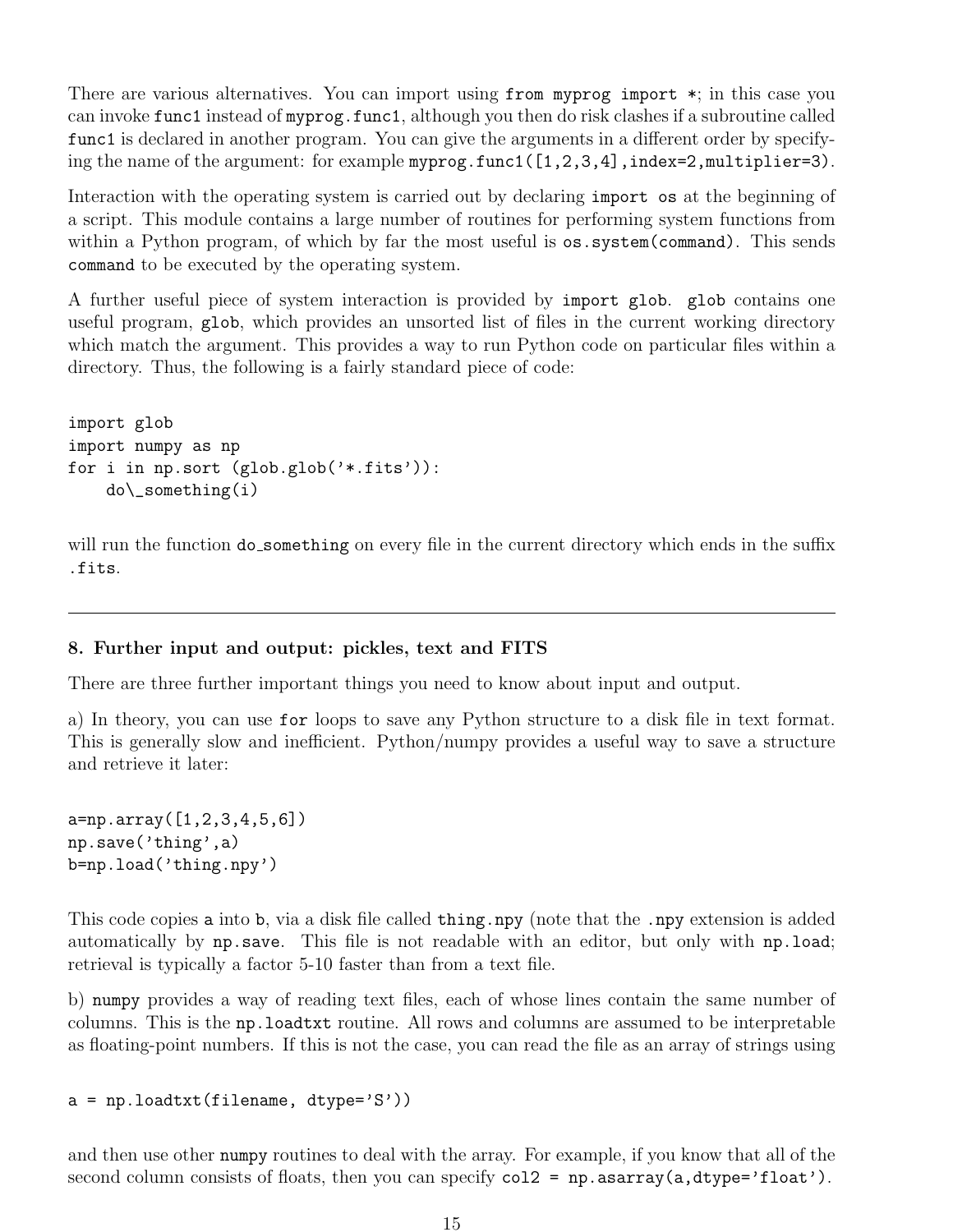There are various alternatives. You can import using from myprog import \*; in this case you can invoke func1 instead of myprog.func1, although you then do risk clashes if a subroutine called func1 is declared in another program. You can give the arguments in a different order by specifying the name of the argument: for example myprog.func1([1,2,3,4],index=2,multiplier=3).

Interaction with the operating system is carried out by declaring import os at the beginning of a script. This module contains a large number of routines for performing system functions from within a Python program, of which by far the most useful is  $\circ s$ . system(command). This sends command to be executed by the operating system.

A further useful piece of system interaction is provided by import glob. glob contains one useful program, glob, which provides an unsorted list of files in the current working directory which match the argument. This provides a way to run Python code on particular files within a directory. Thus, the following is a fairly standard piece of code:

import glob import numpy as np for i in np.sort (glob.glob('\*.fits')): do\\_something(i)

will run the function do\_something on every file in the current directory which ends in the suffix .fits.

#### 8. Further input and output: pickles, text and FITS

There are three further important things you need to know about input and output.

a) In theory, you can use for loops to save any Python structure to a disk file in text format. This is generally slow and inefficient. Python/numpy provides a useful way to save a structure and retrieve it later:

```
a=np.array([1,2,3,4,5,6])
np.save('thing',a)
b=np.load('thing.npy')
```
This code copies a into b, via a disk file called thing.npy (note that the .npy extension is added automatically by np.save. This file is not readable with an editor, but only with np.load; retrieval is typically a factor 5-10 faster than from a text file.

b) numpy provides a way of reading text files, each of whose lines contain the same number of columns. This is the np.loadtxt routine. All rows and columns are assumed to be interpretable as floating-point numbers. If this is not the case, you can read the file as an array of strings using

 $a = np.loadtxt(filename, dtype='S'))$ 

and then use other numpy routines to deal with the array. For example, if you know that all of the second column consists of floats, then you can specify  $col2 = np.asarray(a, dtype='float').$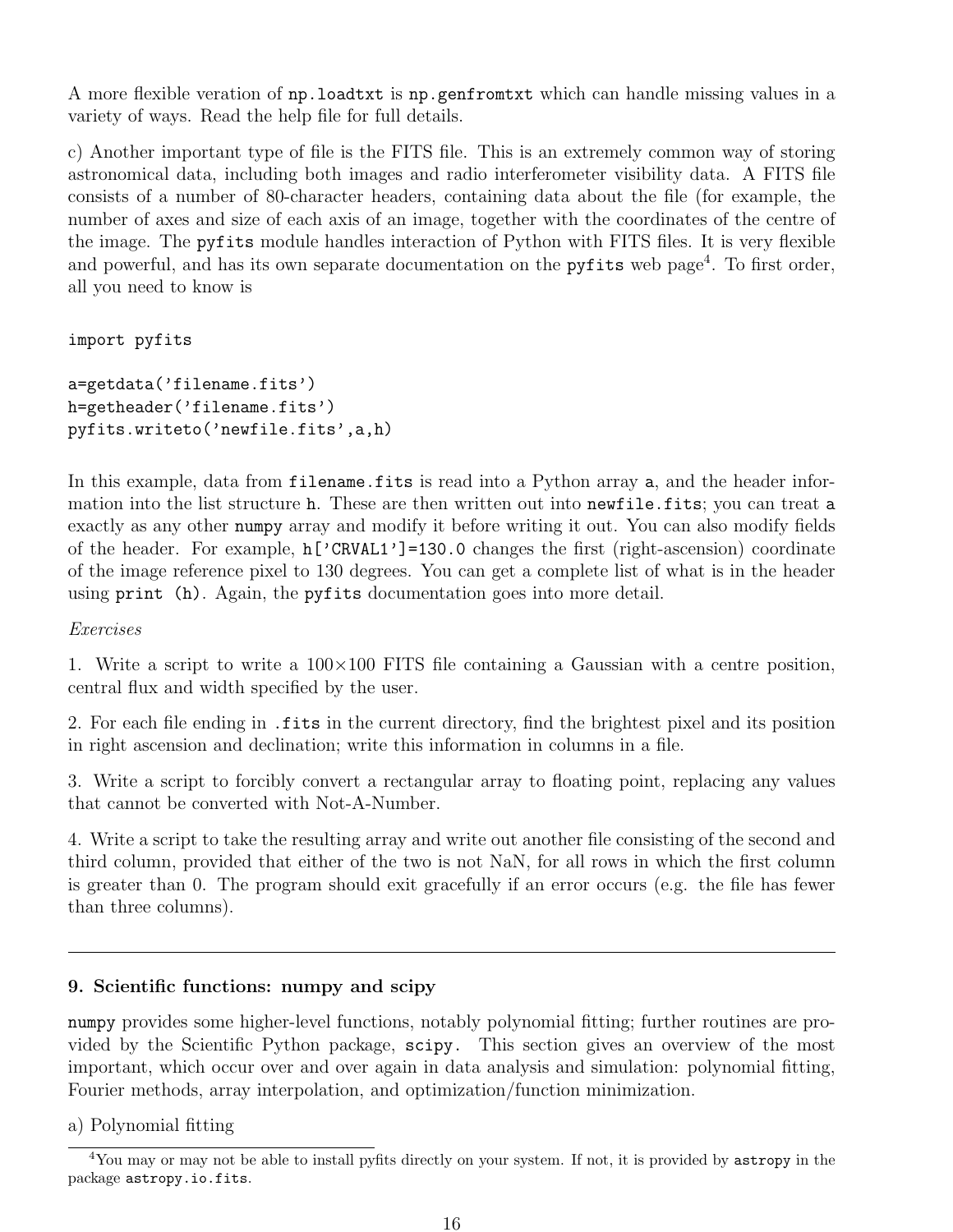A more flexible veration of np.loadtxt is np.genfromtxt which can handle missing values in a variety of ways. Read the help file for full details.

c) Another important type of file is the FITS file. This is an extremely common way of storing astronomical data, including both images and radio interferometer visibility data. A FITS file consists of a number of 80-character headers, containing data about the file (for example, the number of axes and size of each axis of an image, together with the coordinates of the centre of the image. The pyfits module handles interaction of Python with FITS files. It is very flexible and powerful, and has its own separate documentation on the **pyfits** web page<sup>4</sup>. To first order, all you need to know is

import pyfits

```
a=getdata('filename.fits')
h=getheader('filename.fits')
pyfits.writeto('newfile.fits',a,h)
```
In this example, data from filename.fits is read into a Python array a, and the header information into the list structure h. These are then written out into newfile.fits; you can treat a exactly as any other numpy array and modify it before writing it out. You can also modify fields of the header. For example, h['CRVAL1']=130.0 changes the first (right-ascension) coordinate of the image reference pixel to 130 degrees. You can get a complete list of what is in the header using print (h). Again, the pyfits documentation goes into more detail.

Exercises

1. Write a script to write a  $100\times100$  FITS file containing a Gaussian with a centre position, central flux and width specified by the user.

2. For each file ending in .fits in the current directory, find the brightest pixel and its position in right ascension and declination; write this information in columns in a file.

3. Write a script to forcibly convert a rectangular array to floating point, replacing any values that cannot be converted with Not-A-Number.

4. Write a script to take the resulting array and write out another file consisting of the second and third column, provided that either of the two is not NaN, for all rows in which the first column is greater than 0. The program should exit gracefully if an error occurs (e.g. the file has fewer than three columns).

## 9. Scientific functions: numpy and scipy

numpy provides some higher-level functions, notably polynomial fitting; further routines are provided by the Scientific Python package, scipy. This section gives an overview of the most important, which occur over and over again in data analysis and simulation: polynomial fitting, Fourier methods, array interpolation, and optimization/function minimization.

a) Polynomial fitting

<sup>4</sup>You may or may not be able to install pyfits directly on your system. If not, it is provided by astropy in the package astropy.io.fits.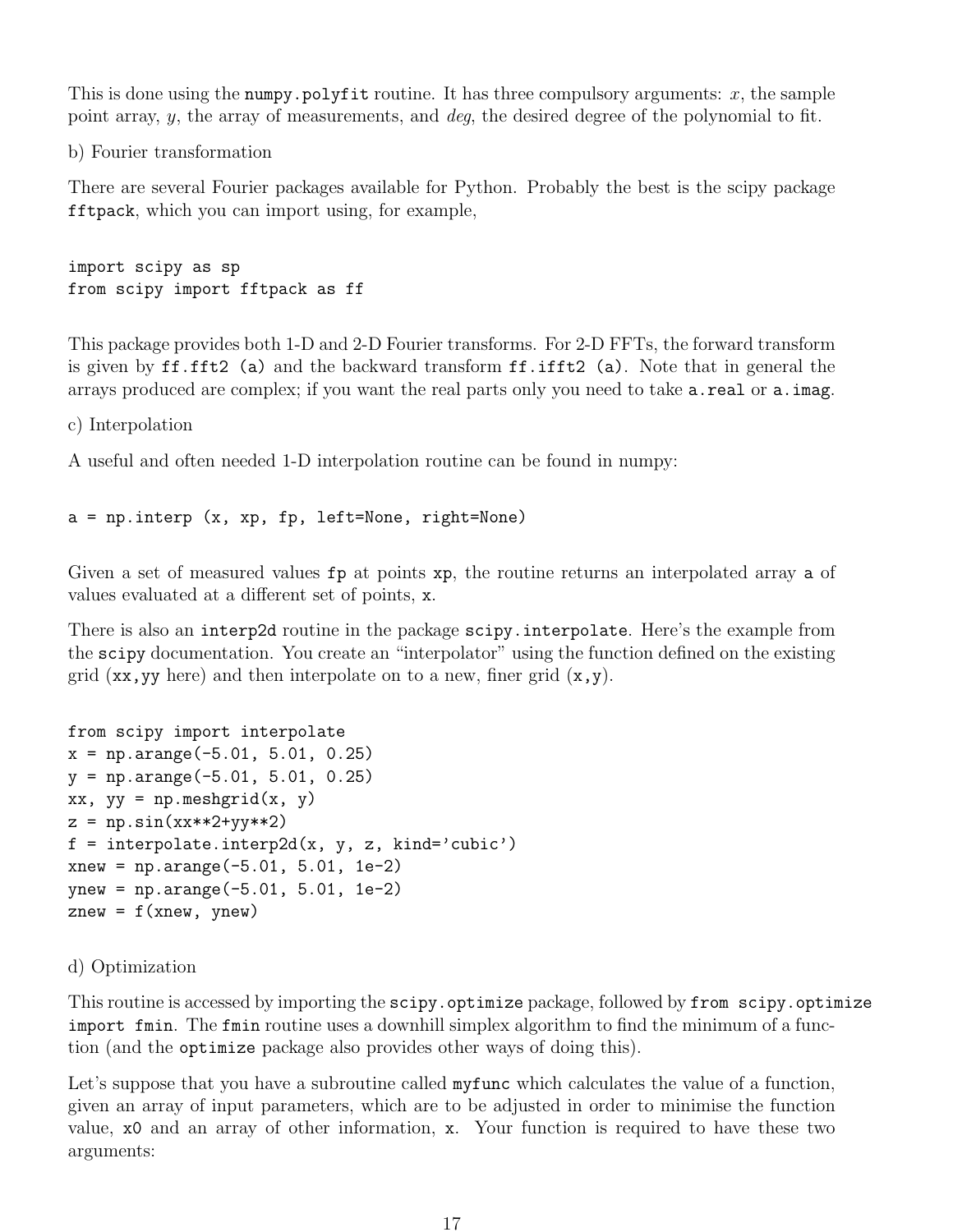This is done using the numpy.polyfit routine. It has three compulsory arguments:  $x$ , the sample point array, y, the array of measurements, and deg, the desired degree of the polynomial to fit.

b) Fourier transformation

There are several Fourier packages available for Python. Probably the best is the scipy package fftpack, which you can import using, for example,

import scipy as sp from scipy import fftpack as ff

This package provides both 1-D and 2-D Fourier transforms. For 2-D FFTs, the forward transform is given by ff.fft2 (a) and the backward transform ff.ifft2 (a). Note that in general the arrays produced are complex; if you want the real parts only you need to take  $a.read$ . real or  $a$ . imag.

c) Interpolation

A useful and often needed 1-D interpolation routine can be found in numpy:

a = np.interp (x, xp, fp, left=None, right=None)

Given a set of measured values  $fp$  at points xp, the routine returns an interpolated array a of values evaluated at a different set of points, x.

There is also an interp2d routine in the package scipy.interpolate. Here's the example from the scipy documentation. You create an "interpolator" using the function defined on the existing grid  $(xx, yy \text{ here})$  and then interpolate on to a new, finer grid  $(x, y)$ .

```
from scipy import interpolate
x = np.arange(-5.01, 5.01, 0.25)y = np.arange(-5.01, 5.01, 0.25)xx, yy = np.messagegrid(x, y)z = np \cdot sin(xx**2+yy**2)f = interpolate.interp2d(x, y, z, kind='cubic')
xnew = np.arange(-5.01, 5.01, 1e-2)ynew = np.arange(-5.01, 5.01, 1e-2)
znew = f(xnew, ynew)
```
#### d) Optimization

This routine is accessed by importing the scipy.optimize package, followed by from scipy.optimize import fmin. The fmin routine uses a downhill simplex algorithm to find the minimum of a function (and the optimize package also provides other ways of doing this).

Let's suppose that you have a subroutine called mytunc which calculates the value of a function, given an array of input parameters, which are to be adjusted in order to minimise the function value, x0 and an array of other information, x. Your function is required to have these two arguments: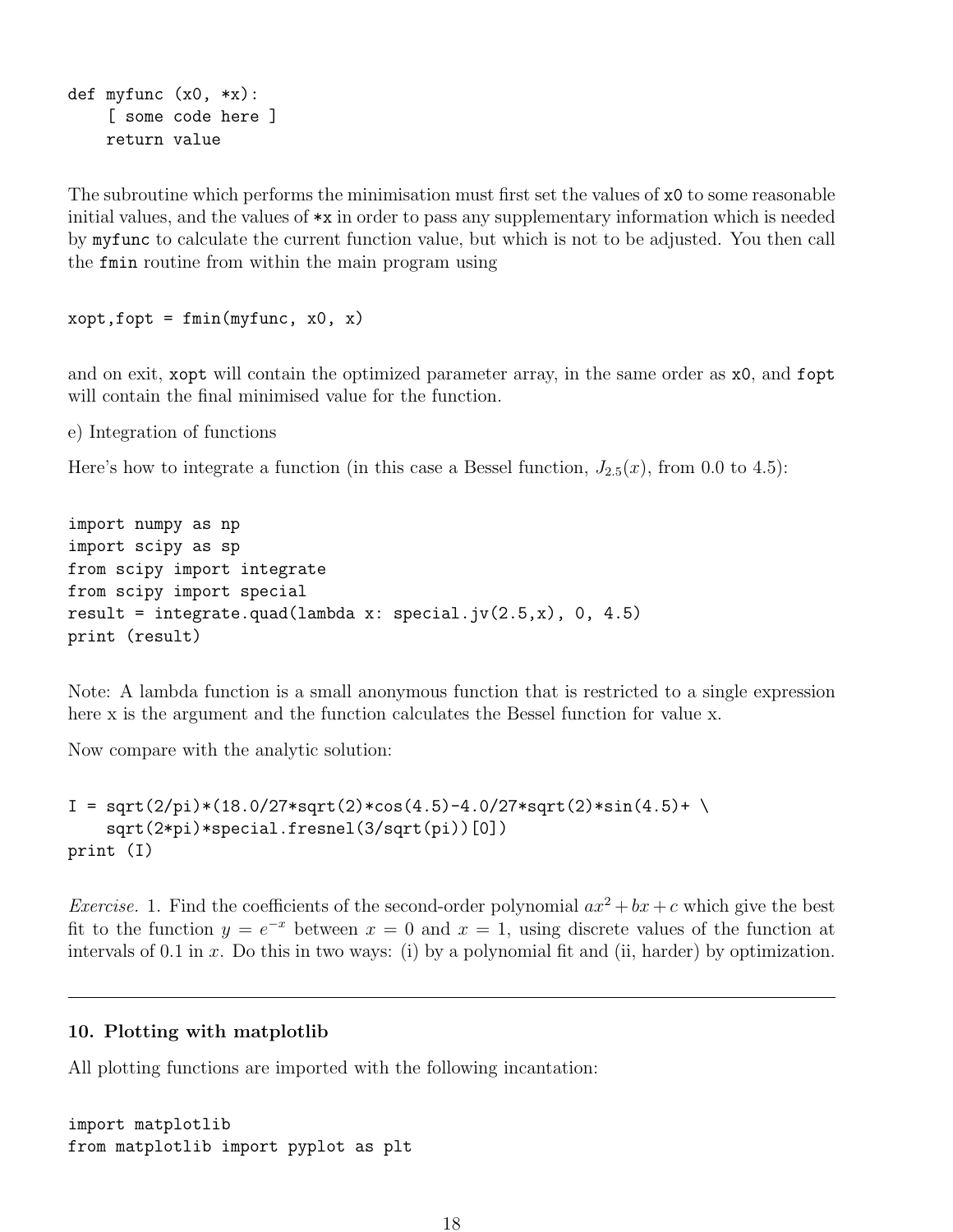```
def myfunc (x0, *x):
    [ some code here ]
    return value
```
The subroutine which performs the minimisation must first set the values of x0 to some reasonable initial values, and the values of \*x in order to pass any supplementary information which is needed by myfunc to calculate the current function value, but which is not to be adjusted. You then call the fmin routine from within the main program using

```
xopt, fopt = fmin(myfunc, x0, x)
```
and on exit, xopt will contain the optimized parameter array, in the same order as x0, and fopt will contain the final minimised value for the function.

e) Integration of functions

Here's how to integrate a function (in this case a Bessel function,  $J_{2.5}(x)$ , from 0.0 to 4.5):

```
import numpy as np
import scipy as sp
from scipy import integrate
from scipy import special
result = integrate.quad(lambda x: special.jv(2.5,x), 0, 4.5)
print (result)
```
Note: A lambda function is a small anonymous function that is restricted to a single expression here x is the argument and the function calculates the Bessel function for value x.

Now compare with the analytic solution:

```
I = sqrt(2/pi)*(18.0/27*sqrt(2)*cos(4.5)-4.0/27*sqrt(2)*sin(4.5)+\sqrt{25}sqrt(2*pi)*special.fresnel(3/sqrt(pi))[0])
print (I)
```
*Exercise.* 1. Find the coefficients of the second-order polynomial  $ax^2 + bx + c$  which give the best fit to the function  $y = e^{-x}$  between  $x = 0$  and  $x = 1$ , using discrete values of the function at intervals of 0.1 in x. Do this in two ways: (i) by a polynomial fit and (ii, harder) by optimization.

#### 10. Plotting with matplotlib

All plotting functions are imported with the following incantation:

```
import matplotlib
from matplotlib import pyplot as plt
```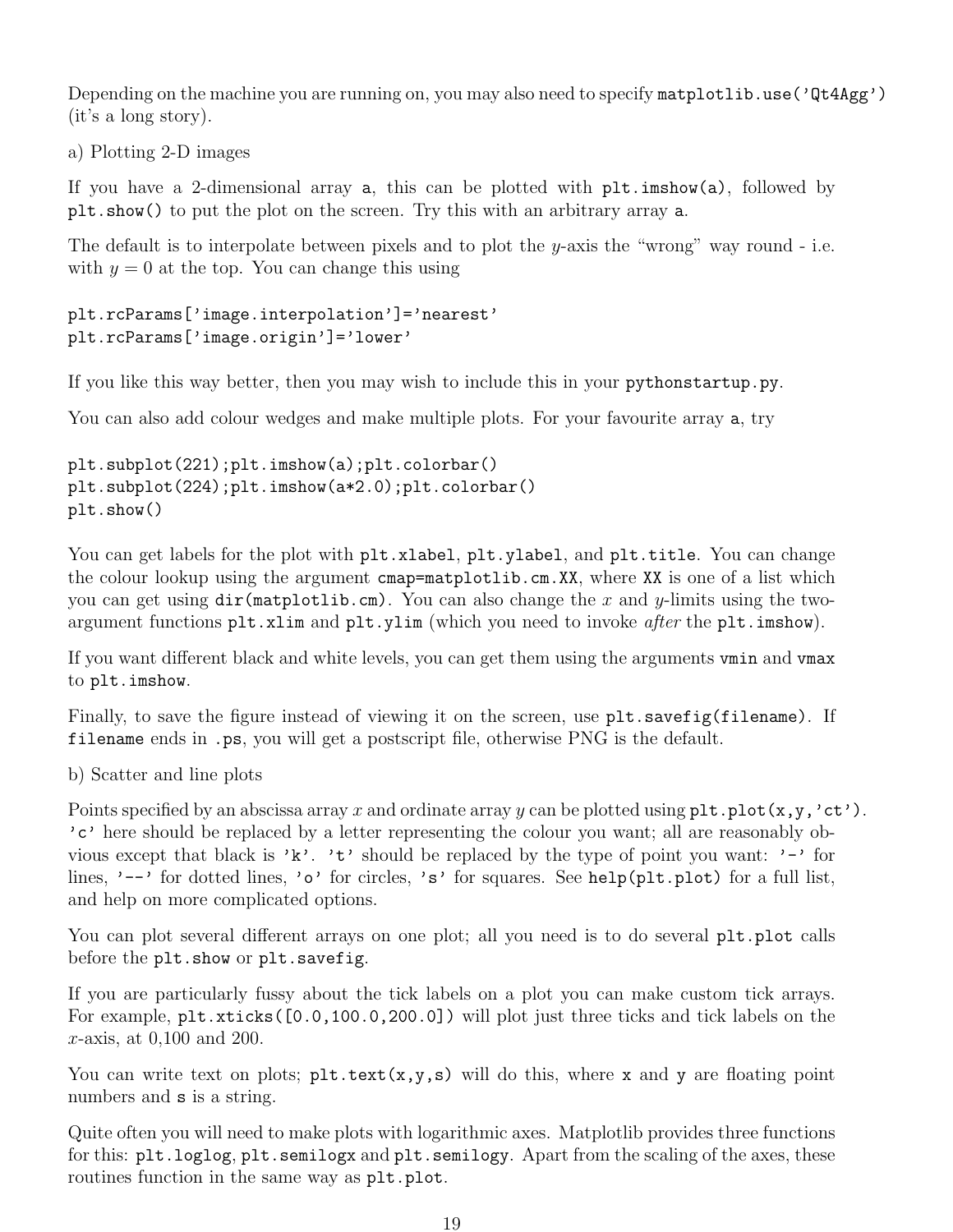Depending on the machine you are running on, you may also need to specify matplotlib.use ('Qt4Agg') (it's a long story).

a) Plotting 2-D images

If you have a 2-dimensional array  $a$ , this can be plotted with  $\n *plt)*$  imshow $(a)$ , followed by plt.show() to put the plot on the screen. Try this with an arbitrary array a.

The default is to interpolate between pixels and to plot the y-axis the "wrong" way round - i.e. with  $y = 0$  at the top. You can change this using

```
plt.rcParams['image.interpolation']='nearest'
plt.rcParams['image.origin']='lower'
```
If you like this way better, then you may wish to include this in your pythonstartup.py.

You can also add colour wedges and make multiple plots. For your favourite array **a**, try

```
plt.subplot(221);plt.imshow(a);plt.colorbar()
plt.subplot(224);plt.imshow(a*2.0);plt.colorbar()
plt.show()
```
You can get labels for the plot with plt.xlabel, plt.ylabel, and plt.title. You can change the colour lookup using the argument cmap=matplotlib.cm.XX, where XX is one of a list which you can get using  $dir(matplotlib.cm)$ . You can also change the x and y-limits using the twoargument functions plt.xlim and plt.ylim (which you need to invoke *after* the plt.imshow).

If you want different black and white levels, you can get them using the arguments vmin and vmax to plt.imshow.

Finally, to save the figure instead of viewing it on the screen, use  $plt.savefig(filename)$ . If filename ends in .ps, you will get a postscript file, otherwise PNG is the default.

b) Scatter and line plots

Points specified by an abscissa array x and ordinate array y can be plotted using  $plt.plot(x,y,'ct').$ 'c' here should be replaced by a letter representing the colour you want; all are reasonably obvious except that black is 'k'. 't' should be replaced by the type of point you want: '-' for lines, '--' for dotted lines, 'o' for circles, 's' for squares. See help(plt.plot) for a full list, and help on more complicated options.

You can plot several different arrays on one plot; all you need is to do several plt.plot calls before the plt.show or plt.savefig.

If you are particularly fussy about the tick labels on a plot you can make custom tick arrays. For example, plt.xticks([0.0,100.0,200.0]) will plot just three ticks and tick labels on the x-axis, at 0,100 and 200.

You can write text on plots;  $plt.text(x,y,s)$  will do this, where x and y are floating point numbers and **s** is a string.

Quite often you will need to make plots with logarithmic axes. Matplotlib provides three functions for this: plt.loglog, plt.semilogx and plt.semilogy. Apart from the scaling of the axes, these routines function in the same way as plt.plot.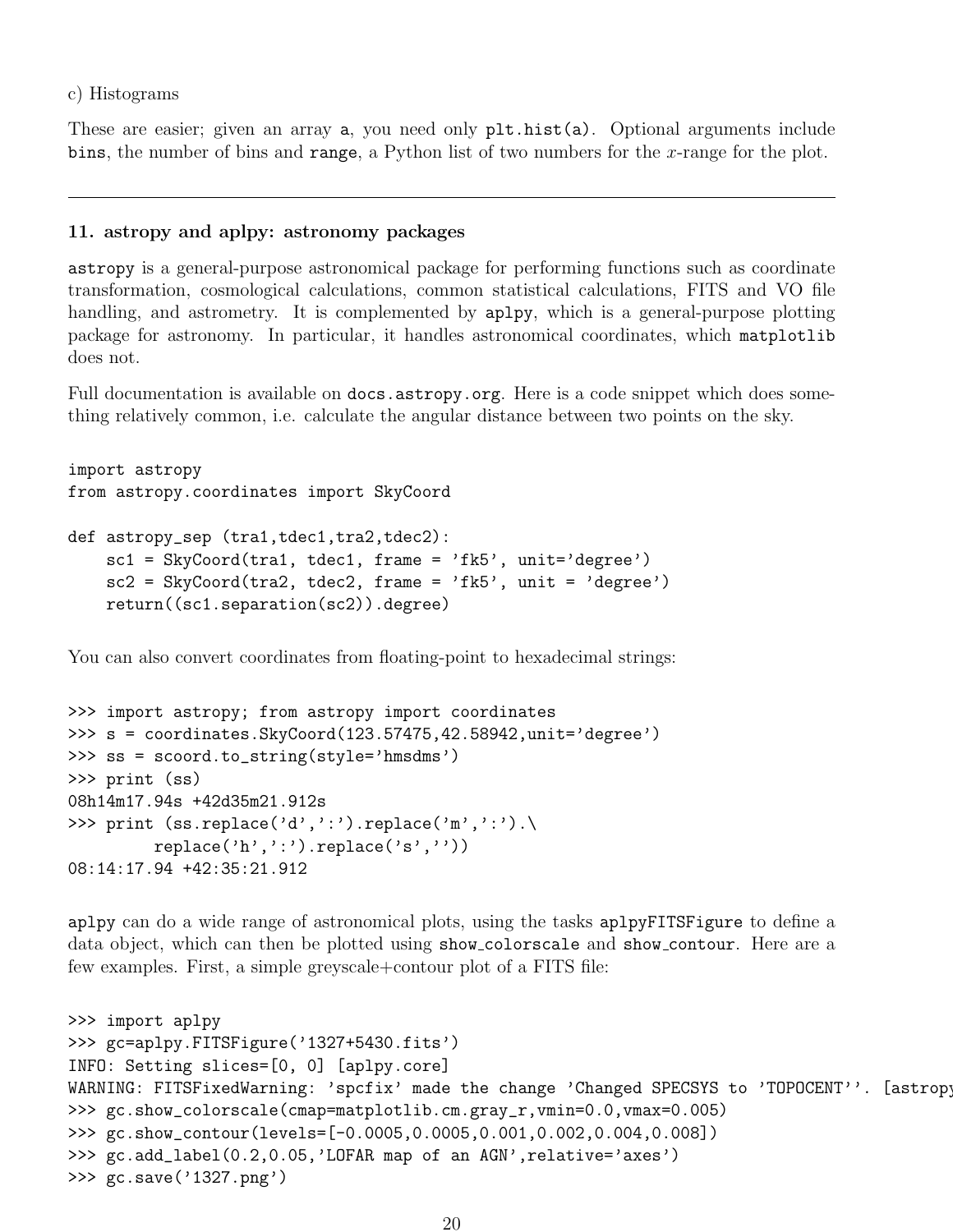c) Histograms

These are easier; given an array a, you need only plt.hist(a). Optional arguments include bins, the number of bins and range, a Python list of two numbers for the  $x$ -range for the plot.

#### 11. astropy and aplpy: astronomy packages

astropy is a general-purpose astronomical package for performing functions such as coordinate transformation, cosmological calculations, common statistical calculations, FITS and VO file handling, and astrometry. It is complemented by aplpy, which is a general-purpose plotting package for astronomy. In particular, it handles astronomical coordinates, which matplotlib does not.

Full documentation is available on docs.astropy.org. Here is a code snippet which does something relatively common, i.e. calculate the angular distance between two points on the sky.

```
import astropy
from astropy.coordinates import SkyCoord
def astropy_sep (tra1,tdec1,tra2,tdec2):
    sc1 = SkyCoord(train, tdec1, frame = 'fk5', unit='degree')sc2 = SkyCoord(train2, tdec2, frame = 'fk5', unit = 'degree')return((sc1.separation(sc2)).degree)
```
You can also convert coordinates from floating-point to hexadecimal strings:

```
>>> import astropy; from astropy import coordinates
>>> s = coordinates.SkyCoord(123.57475,42.58942,unit='degree')
>>> ss = scoord.to_string(style='hmsdms')
>>> print (ss)
08h14m17.94s +42d35m21.912s
>>> print (ss.\text{replace}(d', '')'.\text{replace}(m', '')'.\replace('h',':').replace('s',''))
08:14:17.94 +42:35:21.912
```
aplpy can do a wide range of astronomical plots, using the tasks aplpyFITSFigure to define a data object, which can then be plotted using show colorscale and show contour. Here are a few examples. First, a simple greyscale+contour plot of a FITS file:

```
>>> import aplpy
>>> gc=aplpy.FITSFigure('1327+5430.fits')
INFO: Setting slices=[0, 0] [aplpy.core]
WARNING: FITSFixedWarning: 'spcfix' made the change 'Changed SPECSYS to 'TOPOCENT''. [astropy
>>> gc.show_colorscale(cmap=matplotlib.cm.gray_r,vmin=0.0,vmax=0.005)
>>> gc.show_contour(levels=[-0.0005,0.0005,0.001,0.002,0.004,0.008])
>>> gc.add_label(0.2,0.05,'LOFAR map of an AGN',relative='axes')
>>> gc.save('1327.png')
```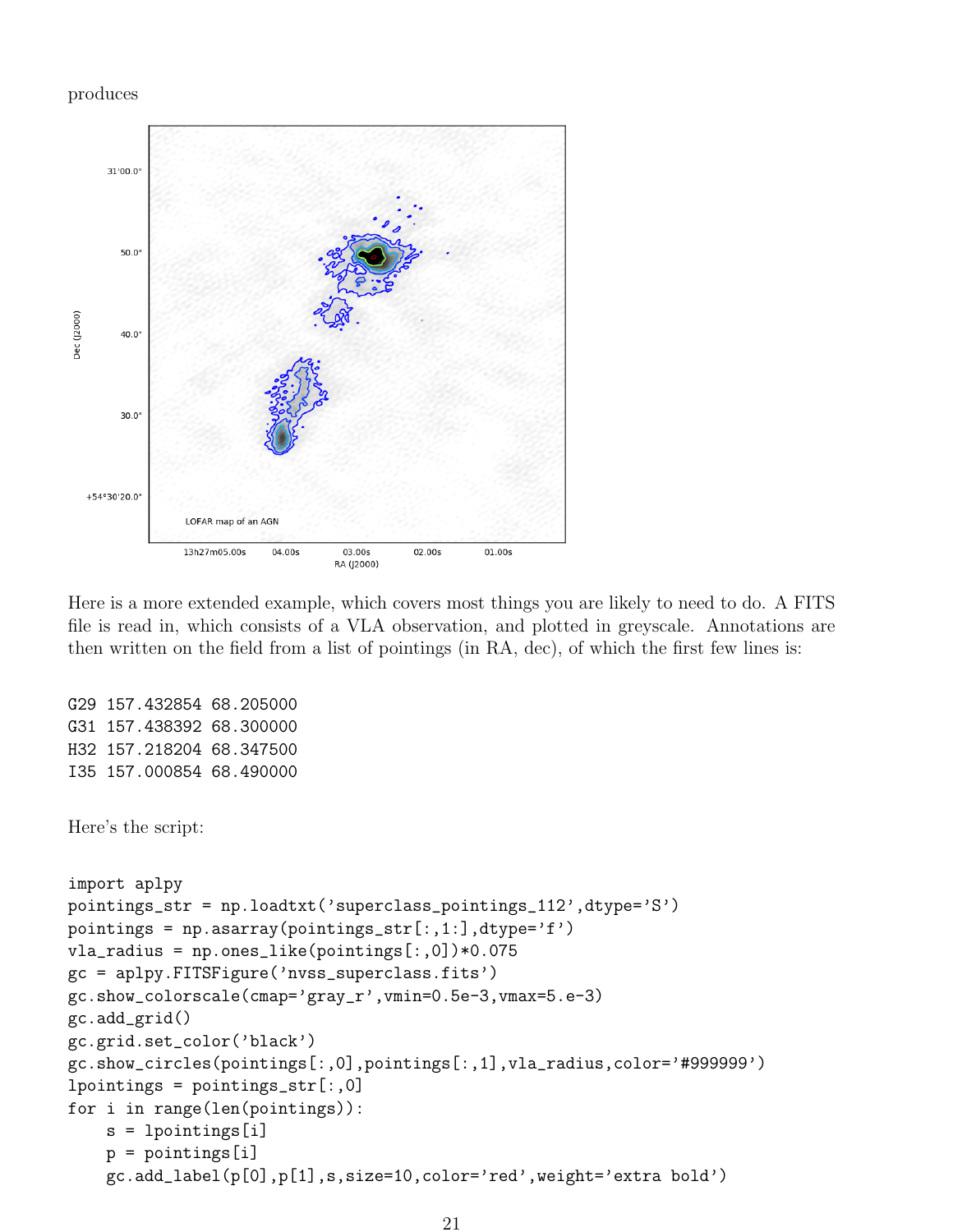#### produces



Here is a more extended example, which covers most things you are likely to need to do. A FITS file is read in, which consists of a VLA observation, and plotted in greyscale. Annotations are then written on the field from a list of pointings (in RA, dec), of which the first few lines is:

```
G29 157.432854 68.205000
G31 157.438392 68.300000
H32 157.218204 68.347500
I35 157.000854 68.490000
Here's the script:
import aplpy
pointings_str = np.loadtxt('superclass_pointings_112',dtype='S')
pointings = np.asarray(pointings_str[:,1:],dtype='f')
vla_r = np.ones\_like(pointings[:, 0]) * 0.075gc = aplpy.FITSFigure('nvss_superclass.fits')
gc.show_colorscale(cmap='gray_r',vmin=0.5e-3,vmax=5.e-3)
gc.add_grid()
gc.grid.set_color('black')
gc.show_circles(pointings[:,0],pointings[:,1],vla_radius,color='#999999')
1pointings = pointings_str[:, 0]for i in range(len(pointings)):
    s = lpointings[i]
    p = pointings[i]
    gc.add_label(p[0],p[1],s,size=10,color='red',weight='extra bold')
```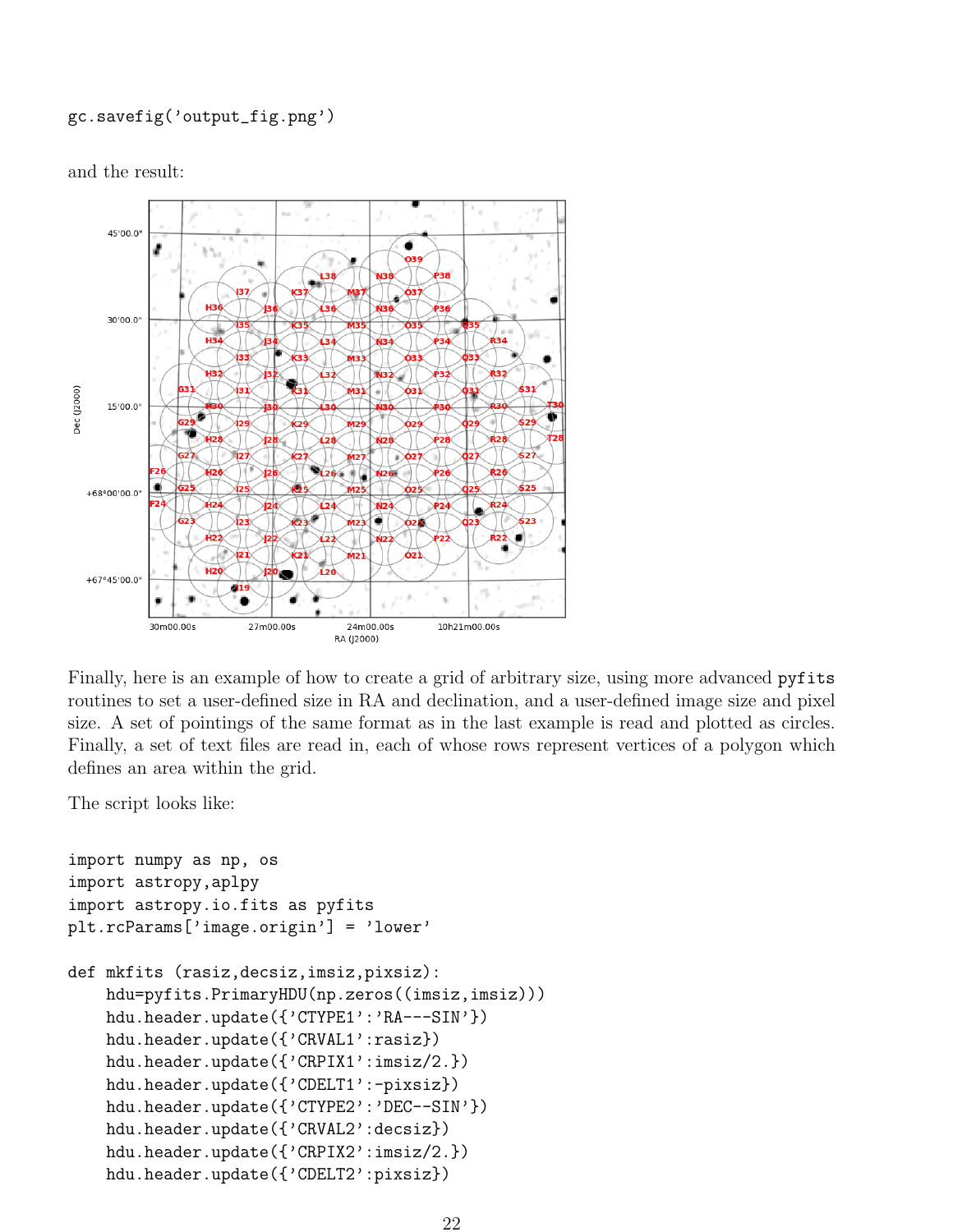## gc.savefig('output\_fig.png')

and the result:



Finally, here is an example of how to create a grid of arbitrary size, using more advanced pyfits routines to set a user-defined size in RA and declination, and a user-defined image size and pixel size. A set of pointings of the same format as in the last example is read and plotted as circles. Finally, a set of text files are read in, each of whose rows represent vertices of a polygon which defines an area within the grid.

The script looks like:

```
import numpy as np, os
import astropy,aplpy
import astropy.io.fits as pyfits
plt.rcParams['image.origin'] = 'lower'
def mkfits (rasiz,decsiz,imsiz,pixsiz):
    hdu=pyfits.PrimaryHDU(np.zeros((imsiz,imsiz)))
    hdu.header.update({'CTYPE1':'RA---SIN'})
    hdu.header.update({'CRVAL1':rasiz})
    hdu.header.update({'CRPIX1':imsiz/2.})
    hdu.header.update({'CDELT1':-pixsiz})
    hdu.header.update({'CTYPE2':'DEC--SIN'})
    hdu.header.update({'CRVAL2':decsiz})
    hdu.header.update({'CRPIX2':imsiz/2.})
    hdu.header.update({'CDELT2':pixsiz})
```